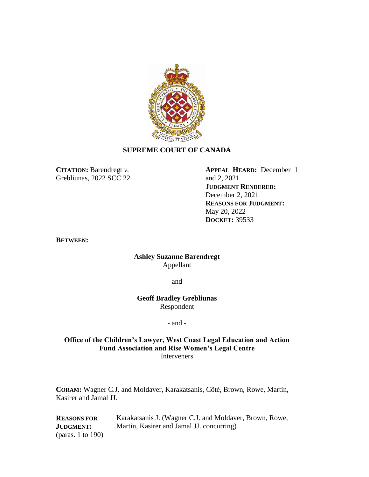

## **SUPREME COURT OF CANADA**

**CITATION:** Barendregt *v.* Grebliunas, 2022 SCC 22

**APPEAL HEARD:** December 1 and 2, 2021 **JUDGMENT RENDERED:** December 2, 2021 **REASONS FOR JUDGMENT:** May 20, 2022 **DOCKET:** 39533

**BETWEEN:**

**Ashley Suzanne Barendregt** Appellant

and

**Geoff Bradley Grebliunas** Respondent

#### - and -

## **Office of the Children's Lawyer, West Coast Legal Education and Action Fund Association and Rise Women's Legal Centre Interveners**

**CORAM:** Wagner C.J. and Moldaver, Karakatsanis, Côté, Brown, Rowe, Martin, Kasirer and Jamal JJ.

**REASONS FOR JUDGMENT:** (paras. 1 to 190)

Karakatsanis J. (Wagner C.J. and Moldaver, Brown, Rowe, Martin, Kasirer and Jamal JJ. concurring)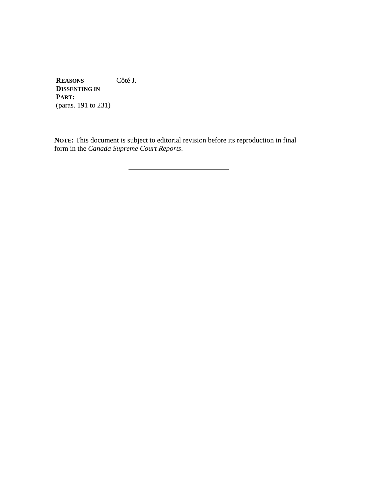**REASONS DISSENTING IN PART:** (paras. 191 to 231) Côté J.

**NOTE:** This document is subject to editorial revision before its reproduction in final form in the *Canada Supreme Court Reports*.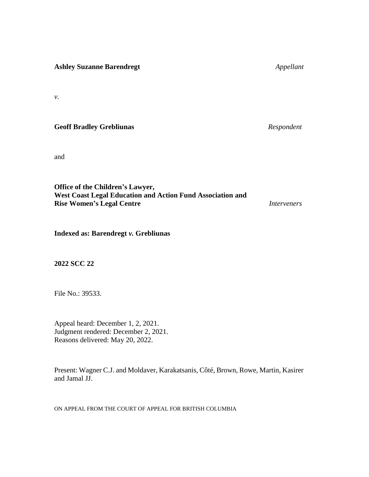**Ashley Suzanne Barendregt** *Appellant*

*v.*

# **Geoff Bradley Grebliunas** *Respondent*

and

**Office of the Children's Lawyer, West Coast Legal Education and Action Fund Association and Rise Women's Legal Centre** *Interveners*

**Indexed as: Barendregt** *v.* **Grebliunas**

**2022 SCC 22**

File No.: 39533.

Appeal heard: December 1, 2, 2021. Judgment rendered: December 2, 2021. Reasons delivered: May 20, 2022.

Present: Wagner C.J. and Moldaver, Karakatsanis, Côté, Brown, Rowe, Martin, Kasirer and Jamal JJ.

ON APPEAL FROM THE COURT OF APPEAL FOR BRITISH COLUMBIA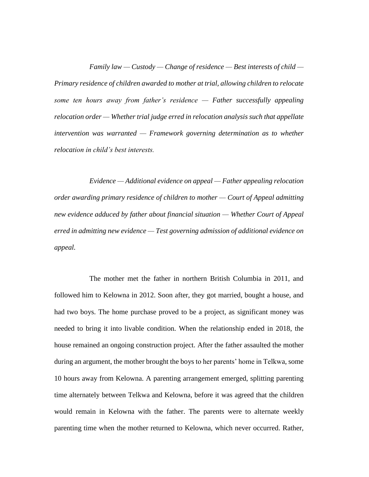*Family law — Custody — Change of residence — Best interests of child — Primary residence of children awarded to mother at trial, allowing children to relocate some ten hours away from father's residence — Father successfully appealing relocation order — Whether trial judge erred in relocation analysis such that appellate intervention was warranted — Framework governing determination as to whether relocation in child's best interests.*

*Evidence — Additional evidence on appeal — Father appealing relocation order awarding primary residence of children to mother — Court of Appeal admitting new evidence adduced by father about financial situation — Whether Court of Appeal erred in admitting new evidence — Test governing admission of additional evidence on appeal.*

The mother met the father in northern British Columbia in 2011, and followed him to Kelowna in 2012. Soon after, they got married, bought a house, and had two boys. The home purchase proved to be a project, as significant money was needed to bring it into livable condition. When the relationship ended in 2018, the house remained an ongoing construction project. After the father assaulted the mother during an argument, the mother brought the boys to her parents' home in Telkwa, some 10 hours away from Kelowna. A parenting arrangement emerged, splitting parenting time alternately between Telkwa and Kelowna, before it was agreed that the children would remain in Kelowna with the father. The parents were to alternate weekly parenting time when the mother returned to Kelowna, which never occurred. Rather,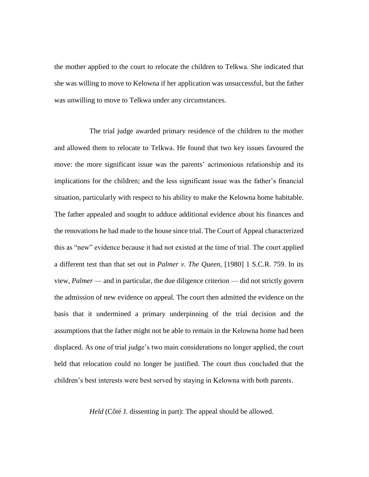the mother applied to the court to relocate the children to Telkwa. She indicated that she was willing to move to Kelowna if her application was unsuccessful, but the father was unwilling to move to Telkwa under any circumstances.

The trial judge awarded primary residence of the children to the mother and allowed them to relocate to Telkwa. He found that two key issues favoured the move: the more significant issue was the parents' acrimonious relationship and its implications for the children; and the less significant issue was the father's financial situation, particularly with respect to his ability to make the Kelowna home habitable. The father appealed and sought to adduce additional evidence about his finances and the renovations he had made to the house since trial. The Court of Appeal characterized this as "new" evidence because it had not existed at the time of trial. The court applied a different test than that set out in *Palmer v. The Queen*, [1980] 1 S.C.R. 759. In its view, *Palmer* — and in particular, the due diligence criterion — did not strictly govern the admission of new evidence on appeal. The court then admitted the evidence on the basis that it undermined a primary underpinning of the trial decision and the assumptions that the father might not be able to remain in the Kelowna home had been displaced. As one of trial judge's two main considerations no longer applied, the court held that relocation could no longer be justified. The court thus concluded that the children's best interests were best served by staying in Kelowna with both parents.

*Held* (Côté J. dissenting in part): The appeal should be allowed.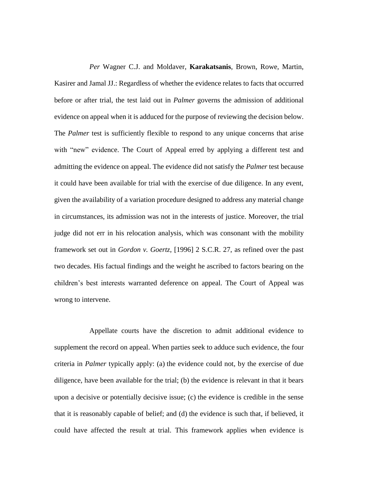*Per* Wagner C.J. and Moldaver, **Karakatsanis**, Brown, Rowe, Martin, Kasirer and Jamal JJ.: Regardless of whether the evidence relates to facts that occurred before or after trial, the test laid out in *Palmer* governs the admission of additional evidence on appeal when it is adduced for the purpose of reviewing the decision below. The *Palmer* test is sufficiently flexible to respond to any unique concerns that arise with "new" evidence. The Court of Appeal erred by applying a different test and admitting the evidence on appeal. The evidence did not satisfy the *Palmer* test because it could have been available for trial with the exercise of due diligence. In any event, given the availability of a variation procedure designed to address any material change in circumstances, its admission was not in the interests of justice. Moreover, the trial judge did not err in his relocation analysis, which was consonant with the mobility framework set out in *Gordon v. Goertz*, [1996] 2 S.C.R. 27, as refined over the past two decades. His factual findings and the weight he ascribed to factors bearing on the children's best interests warranted deference on appeal. The Court of Appeal was wrong to intervene.

Appellate courts have the discretion to admit additional evidence to supplement the record on appeal. When parties seek to adduce such evidence, the four criteria in *Palmer* typically apply: (a) the evidence could not, by the exercise of due diligence, have been available for the trial; (b) the evidence is relevant in that it bears upon a decisive or potentially decisive issue; (c) the evidence is credible in the sense that it is reasonably capable of belief; and (d) the evidence is such that, if believed, it could have affected the result at trial. This framework applies when evidence is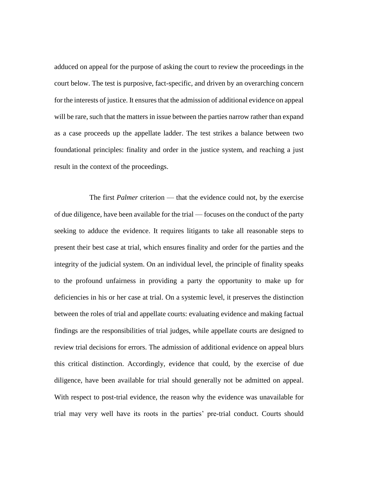adduced on appeal for the purpose of asking the court to review the proceedings in the court below. The test is purposive, fact-specific, and driven by an overarching concern for the interests of justice. It ensures that the admission of additional evidence on appeal will be rare, such that the matters in issue between the parties narrow rather than expand as a case proceeds up the appellate ladder. The test strikes a balance between two foundational principles: finality and order in the justice system, and reaching a just result in the context of the proceedings.

The first *Palmer* criterion — that the evidence could not, by the exercise of due diligence, have been available for the trial — focuses on the conduct of the party seeking to adduce the evidence. It requires litigants to take all reasonable steps to present their best case at trial, which ensures finality and order for the parties and the integrity of the judicial system. On an individual level, the principle of finality speaks to the profound unfairness in providing a party the opportunity to make up for deficiencies in his or her case at trial. On a systemic level, it preserves the distinction between the roles of trial and appellate courts: evaluating evidence and making factual findings are the responsibilities of trial judges, while appellate courts are designed to review trial decisions for errors. The admission of additional evidence on appeal blurs this critical distinction. Accordingly, evidence that could, by the exercise of due diligence, have been available for trial should generally not be admitted on appeal. With respect to post-trial evidence, the reason why the evidence was unavailable for trial may very well have its roots in the parties' pre-trial conduct. Courts should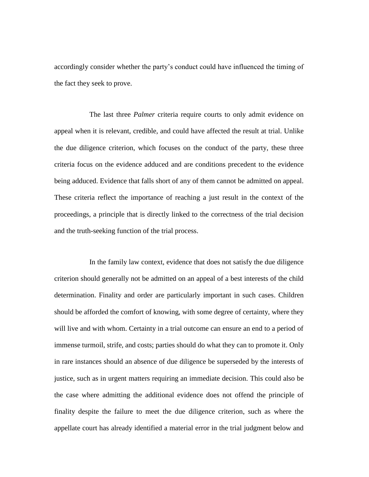accordingly consider whether the party's conduct could have influenced the timing of the fact they seek to prove.

The last three *Palmer* criteria require courts to only admit evidence on appeal when it is relevant, credible, and could have affected the result at trial. Unlike the due diligence criterion, which focuses on the conduct of the party, these three criteria focus on the evidence adduced and are conditions precedent to the evidence being adduced. Evidence that falls short of any of them cannot be admitted on appeal. These criteria reflect the importance of reaching a just result in the context of the proceedings, a principle that is directly linked to the correctness of the trial decision and the truth-seeking function of the trial process.

In the family law context, evidence that does not satisfy the due diligence criterion should generally not be admitted on an appeal of a best interests of the child determination. Finality and order are particularly important in such cases. Children should be afforded the comfort of knowing, with some degree of certainty, where they will live and with whom. Certainty in a trial outcome can ensure an end to a period of immense turmoil, strife, and costs; parties should do what they can to promote it. Only in rare instances should an absence of due diligence be superseded by the interests of justice, such as in urgent matters requiring an immediate decision. This could also be the case where admitting the additional evidence does not offend the principle of finality despite the failure to meet the due diligence criterion, such as where the appellate court has already identified a material error in the trial judgment below and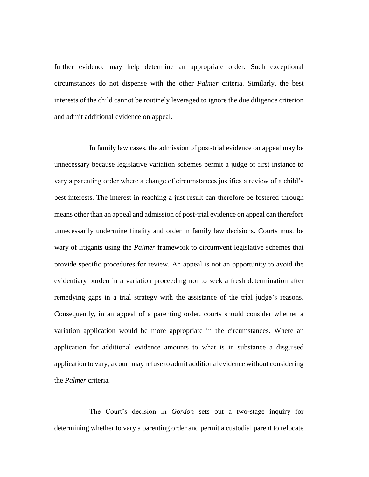further evidence may help determine an appropriate order. Such exceptional circumstances do not dispense with the other *Palmer* criteria. Similarly, the best interests of the child cannot be routinely leveraged to ignore the due diligence criterion and admit additional evidence on appeal.

In family law cases, the admission of post-trial evidence on appeal may be unnecessary because legislative variation schemes permit a judge of first instance to vary a parenting order where a change of circumstances justifies a review of a child's best interests. The interest in reaching a just result can therefore be fostered through means other than an appeal and admission of post-trial evidence on appeal can therefore unnecessarily undermine finality and order in family law decisions. Courts must be wary of litigants using the *Palmer* framework to circumvent legislative schemes that provide specific procedures for review. An appeal is not an opportunity to avoid the evidentiary burden in a variation proceeding nor to seek a fresh determination after remedying gaps in a trial strategy with the assistance of the trial judge's reasons. Consequently, in an appeal of a parenting order, courts should consider whether a variation application would be more appropriate in the circumstances. Where an application for additional evidence amounts to what is in substance a disguised application to vary, a court may refuse to admit additional evidence without considering the *Palmer* criteria*.*

The Court's decision in *Gordon* sets out a two-stage inquiry for determining whether to vary a parenting order and permit a custodial parent to relocate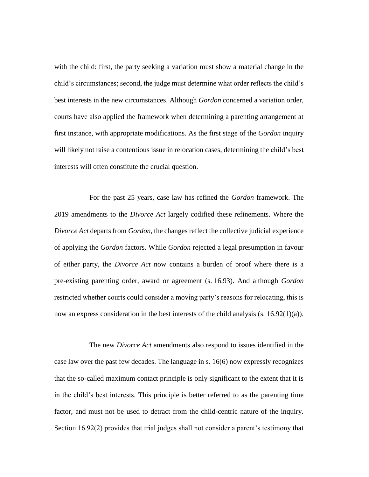with the child: first, the party seeking a variation must show a material change in the child's circumstances; second, the judge must determine what order reflects the child's best interests in the new circumstances. Although *Gordon* concerned a variation order, courts have also applied the framework when determining a parenting arrangement at first instance, with appropriate modifications. As the first stage of the *Gordon* inquiry will likely not raise a contentious issue in relocation cases, determining the child's best interests will often constitute the crucial question.

For the past 25 years, case law has refined the *Gordon* framework. The 2019 amendments to the *Divorce Act* largely codified these refinements. Where the *Divorce Act* departs from *Gordon*, the changes reflect the collective judicial experience of applying the *Gordon* factors. While *Gordon* rejected a legal presumption in favour of either party, the *Divorce Act* now contains a burden of proof where there is a pre-existing parenting order, award or agreement (s. 16.93). And although *Gordon*  restricted whether courts could consider a moving party's reasons for relocating, this is now an express consideration in the best interests of the child analysis (s.  $16.92(1)(a)$ ).

The new *Divorce Act* amendments also respond to issues identified in the case law over the past few decades. The language in s. 16(6) now expressly recognizes that the so-called maximum contact principle is only significant to the extent that it is in the child's best interests. This principle is better referred to as the parenting time factor, and must not be used to detract from the child-centric nature of the inquiry. Section 16.92(2) provides that trial judges shall not consider a parent's testimony that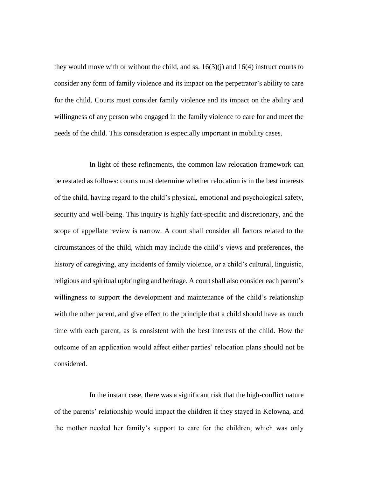they would move with or without the child, and ss.  $16(3)(i)$  and  $16(4)$  instruct courts to consider any form of family violence and its impact on the perpetrator's ability to care for the child. Courts must consider family violence and its impact on the ability and willingness of any person who engaged in the family violence to care for and meet the needs of the child. This consideration is especially important in mobility cases.

In light of these refinements, the common law relocation framework can be restated as follows: courts must determine whether relocation is in the best interests of the child, having regard to the child's physical, emotional and psychological safety, security and well-being. This inquiry is highly fact-specific and discretionary, and the scope of appellate review is narrow. A court shall consider all factors related to the circumstances of the child, which may include the child's views and preferences, the history of caregiving, any incidents of family violence, or a child's cultural, linguistic, religious and spiritual upbringing and heritage. A court shall also consider each parent's willingness to support the development and maintenance of the child's relationship with the other parent, and give effect to the principle that a child should have as much time with each parent, as is consistent with the best interests of the child. How the outcome of an application would affect either parties' relocation plans should not be considered.

In the instant case, there was a significant risk that the high-conflict nature of the parents' relationship would impact the children if they stayed in Kelowna, and the mother needed her family's support to care for the children, which was only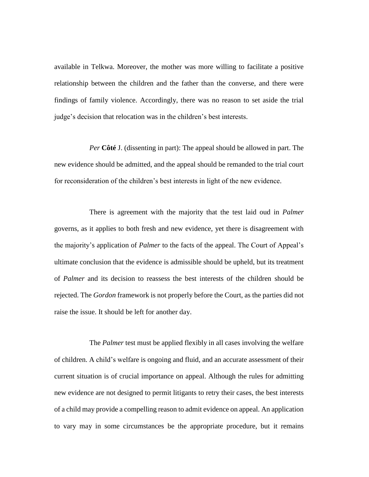available in Telkwa. Moreover, the mother was more willing to facilitate a positive relationship between the children and the father than the converse, and there were findings of family violence. Accordingly, there was no reason to set aside the trial judge's decision that relocation was in the children's best interests.

*Per* **Côté** J. (dissenting in part): The appeal should be allowed in part. The new evidence should be admitted, and the appeal should be remanded to the trial court for reconsideration of the children's best interests in light of the new evidence.

There is agreement with the majority that the test laid oud in *Palmer*  governs, as it applies to both fresh and new evidence, yet there is disagreement with the majority's application of *Palmer* to the facts of the appeal. The Court of Appeal's ultimate conclusion that the evidence is admissible should be upheld, but its treatment of *Palmer* and its decision to reassess the best interests of the children should be rejected. The *Gordon* framework is not properly before the Court, as the parties did not raise the issue. It should be left for another day.

The *Palmer* test must be applied flexibly in all cases involving the welfare of children. A child's welfare is ongoing and fluid, and an accurate assessment of their current situation is of crucial importance on appeal. Although the rules for admitting new evidence are not designed to permit litigants to retry their cases, the best interests of a child may provide a compelling reason to admit evidence on appeal. An application to vary may in some circumstances be the appropriate procedure, but it remains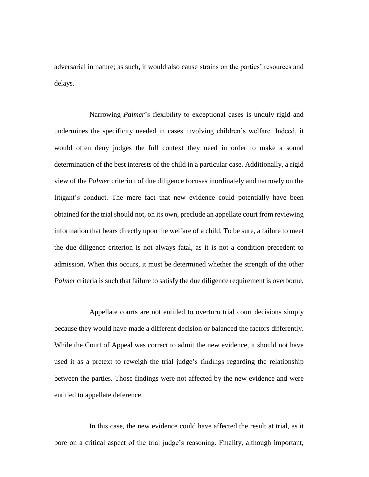adversarial in nature; as such, it would also cause strains on the parties' resources and delays.

Narrowing *Palmer*'s flexibility to exceptional cases is unduly rigid and undermines the specificity needed in cases involving children's welfare. Indeed, it would often deny judges the full context they need in order to make a sound determination of the best interests of the child in a particular case. Additionally, a rigid view of the *Palmer* criterion of due diligence focuses inordinately and narrowly on the litigant's conduct. The mere fact that new evidence could potentially have been obtained for the trial should not, on its own, preclude an appellate court from reviewing information that bears directly upon the welfare of a child. To be sure, a failure to meet the due diligence criterion is not always fatal, as it is not a condition precedent to admission. When this occurs, it must be determined whether the strength of the other *Palmer* criteria is such that failure to satisfy the due diligence requirement is overborne.

Appellate courts are not entitled to overturn trial court decisions simply because they would have made a different decision or balanced the factors differently. While the Court of Appeal was correct to admit the new evidence, it should not have used it as a pretext to reweigh the trial judge's findings regarding the relationship between the parties. Those findings were not affected by the new evidence and were entitled to appellate deference.

In this case, the new evidence could have affected the result at trial, as it bore on a critical aspect of the trial judge's reasoning. Finality, although important,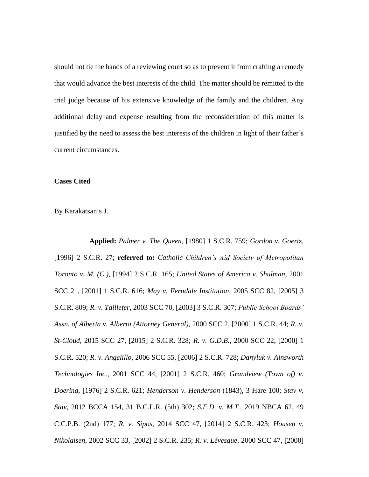should not tie the hands of a reviewing court so as to prevent it from crafting a remedy that would advance the best interests of the child. The matter should be remitted to the trial judge because of his extensive knowledge of the family and the children. Any additional delay and expense resulting from the reconsideration of this matter is justified by the need to assess the best interests of the children in light of their father's current circumstances.

### **Cases Cited**

By Karakatsanis J.

**Applied:** *Palmer v. The Queen*, [1980] 1 S.C.R. 759; *Gordon v. Goertz*, [1996] 2 S.C.R. 27; **referred to:** *Catholic Children's Aid Society of Metropolitan Toronto v. M. (C.)*, [1994] 2 S.C.R. 165; *United States of America v. Shulman*, 2001 SCC 21, [2001] 1 S.C.R. 616; *May v. Ferndale Institution*, 2005 SCC 82, [2005] 3 S.C.R. 809; *R. v. Taillefer*, 2003 SCC 70, [2003] 3 S.C.R. 307; *Public School Boards' Assn. of Alberta v. Alberta (Attorney General)*, 2000 SCC 2, [2000] 1 S.C.R. 44; *R. v. St-Cloud*, 2015 SCC 27, [2015] 2 S.C.R. 328; *R. v. G.D.B.*, 2000 SCC 22, [2000] 1 S.C.R. 520; *R. v. Angelillo*, 2006 SCC 55, [2006] 2 S.C.R. 728; *Danyluk v. Ainsworth Technologies Inc.*, 2001 SCC 44, [2001] 2 S.C.R. 460; *Grandview (Town of) v. Doering*, [1976] 2 S.C.R. 621; *Henderson v. Henderson* (1843), 3 Hare 100; *Stav v. Stav*, 2012 BCCA 154, 31 B.C.L.R. (5th) 302; *S.F.D. v. M.T.*, 2019 NBCA 62, 49 C.C.P.B. (2nd) 177; *R. v. Sipos*, 2014 SCC 47, [2014] 2 S.C.R. 423; *Housen v. Nikolaisen*, 2002 SCC 33, [2002] 2 S.C.R. 235; *R. v. Lévesque*, 2000 SCC 47, [2000]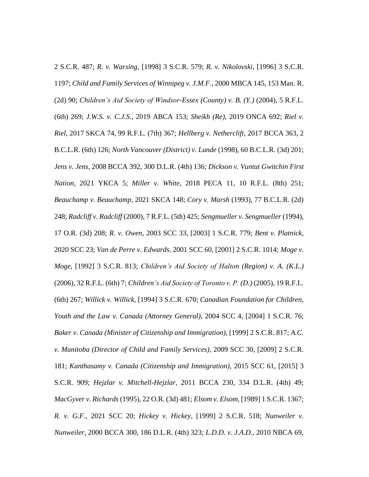2 S.C.R. 487; *R. v. Warsing*, [1998] 3 S.C.R. 579; *R. v. Nikolovski*, [1996] 3 S.C.R. 1197; *Child and Family Services of Winnipeg v. J.M.F.*, 2000 MBCA 145, 153 Man. R. (2d) 90; *Children's Aid Society of Windsor-Essex (County) v. B. (Y.)* (2004), 5 R.F.L. (6th) 269; *J.W.S. v. C.J.S.*, 2019 ABCA 153; *Sheikh (Re)*, 2019 ONCA 692; *Riel v. Riel*, 2017 SKCA 74, 99 R.F.L. (7th) 367; *Hellberg v. Netherclift*, 2017 BCCA 363, 2 B.C.L.R. (6th) 126; *North Vancouver (District) v. Lunde* (1998), 60 B.C.L.R. (3d) 201; *Jens v. Jens*, 2008 BCCA 392, 300 D.L.R. (4th) 136; *Dickson v. Vuntut Gwitchin First Nation*, 2021 YKCA 5; *Miller v. White*, 2018 PECA 11, 10 R.F.L. (8th) 251; *Beauchamp v. Beauchamp*, 2021 SKCA 148; *Cory v. Marsh* (1993), 77 B.C.L.R. (2d) 248; *Radcliff v. Radcliff* (2000), 7 R.F.L. (5th) 425; *Sengmueller v. Sengmueller* (1994), 17 O.R. (3d) 208; *R. v. Owen*, 2003 SCC 33, [2003] 1 S.C.R. 779; *Bent v. Platnick*, 2020 SCC 23; *Van de Perre v. Edwards*, 2001 SCC 60, [2001] 2 S.C.R. 1014; *Moge v. Moge*, [1992] 3 S.C.R. 813; *Children's Aid Society of Halton (Region) v. A. (K.L.)*  (2006), 32 R.F.L. (6th) 7; *Children's Aid Society of Toronto v. P. (D.)* (2005), 19 R.F.L. (6th) 267; *Willick v. Willick*, [1994] 3 S.C.R. 670; *Canadian Foundation for Children, Youth and the Law v. Canada (Attorney General)*, 2004 SCC 4, [2004] 1 S.C.R. 76; *Baker v. Canada (Minister of Citizenship and Immigration)*, [1999] 2 S.C.R. 817; *A.C. v. Manitoba (Director of Child and Family Services)*, 2009 SCC 30, [2009] 2 S.C.R. 181; *Kanthasamy v. Canada (Citizenship and Immigration)*, 2015 SCC 61, [2015] 3 S.C.R. 909; *Hejzlar v. Mitchell-Hejzlar*, 2011 BCCA 230, 334 D.L.R. (4th) 49; *MacGyver v. Richards* (1995), 22 O.R. (3d) 481; *Elsom v. Elsom*, [1989] 1 S.C.R. 1367; *R. v. G.F.*, 2021 SCC 20; *Hickey v. Hickey*, [1999] 2 S.C.R. 518; *Nunweiler v. Nunweiler*, 2000 BCCA 300, 186 D.L.R. (4th) 323; *L.D.D. v. J.A.D.*, 2010 NBCA 69,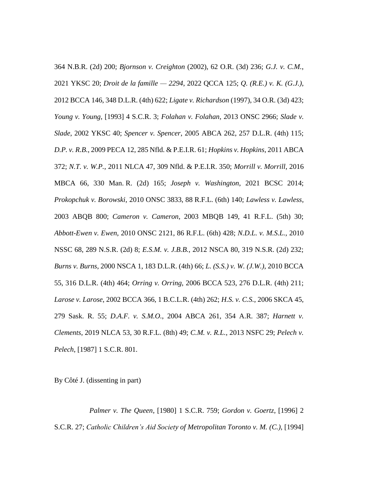364 N.B.R. (2d) 200; *Bjornson v. Creighton* (2002), 62 O.R. (3d) 236; *G.J. v. C.M.*, 2021 YKSC 20; *Droit de la famille — 2294*, 2022 QCCA 125; *Q. (R.E.) v. K. (G.J.)*, 2012 BCCA 146, 348 D.L.R. (4th) 622; *Ligate v. Richardson* (1997), 34 O.R. (3d) 423; *Young v. Young*, [1993] 4 S.C.R. 3; *Folahan v. Folahan*, 2013 ONSC 2966; *Slade v. Slade*, 2002 YKSC 40; *Spencer v. Spencer*, 2005 ABCA 262, 257 D.L.R. (4th) 115; *D.P. v. R.B.*, 2009 PECA 12, 285 Nfld. & P.E.I.R. 61; *Hopkins v. Hopkins*, 2011 ABCA 372; *N.T. v. W.P.*, 2011 NLCA 47, 309 Nfld. & P.E.I.R. 350; *Morrill v. Morrill*, 2016 MBCA 66, 330 Man. R. (2d) 165; *Joseph v. Washington*, 2021 BCSC 2014; *Prokopchuk v. Borowski*, 2010 ONSC 3833, 88 R.F.L. (6th) 140; *Lawless v. Lawless*, 2003 ABQB 800; *Cameron v. Cameron*, 2003 MBQB 149, 41 R.F.L. (5th) 30; *Abbott-Ewen v. Ewen*, 2010 ONSC 2121, 86 R.F.L. (6th) 428; *N.D.L. v. M.S.L.*, 2010 NSSC 68, 289 N.S.R. (2d) 8; *E.S.M. v. J.B.B.*, 2012 NSCA 80, 319 N.S.R. (2d) 232; *Burns v. Burns*, 2000 NSCA 1, 183 D.L.R. (4th) 66; *L. (S.S.) v. W. (J.W.)*, 2010 BCCA 55, 316 D.L.R. (4th) 464; *Orring v. Orring*, 2006 BCCA 523, 276 D.L.R. (4th) 211; *Larose v. Larose*, 2002 BCCA 366, 1 B.C.L.R. (4th) 262; *H.S. v. C.S.*, 2006 SKCA 45, 279 Sask. R. 55; *D.A.F. v. S.M.O.*, 2004 ABCA 261, 354 A.R. 387; *Harnett v. Clements*, 2019 NLCA 53, 30 R.F.L. (8th) 49; *C.M. v. R.L.*, 2013 NSFC 29; *Pelech v. Pelech*, [1987] 1 S.C.R. 801.

By Côté J. (dissenting in part)

*Palmer v. The Queen*, [1980] 1 S.C.R. 759; *Gordon v. Goertz*, [1996] 2 S.C.R. 27; *Catholic Children's Aid Society of Metropolitan Toronto v. M. (C.)*, [1994]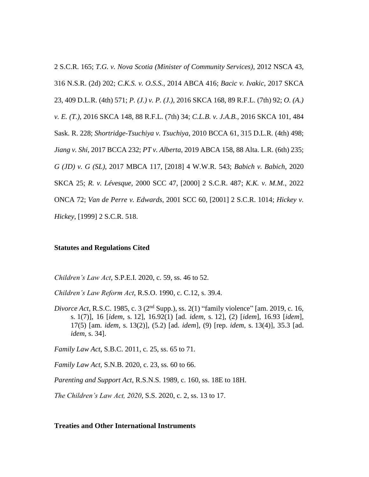2 S.C.R. 165; *T.G. v. Nova Scotia (Minister of Community Services)*, 2012 NSCA 43, 316 N.S.R. (2d) 202; *C.K.S. v. O.S.S.*, 2014 ABCA 416; *Bacic v. Ivakic*, 2017 SKCA 23, 409 D.L.R. (4th) 571; *P. (J.) v. P. (J.)*, 2016 SKCA 168, 89 R.F.L. (7th) 92; *O. (A.) v. E. (T.)*, 2016 SKCA 148, 88 R.F.L. (7th) 34; *C.L.B. v. J.A.B.*, 2016 SKCA 101, 484 Sask. R. 228; *Shortridge-Tsuchiya v. Tsuchiya*, 2010 BCCA 61, 315 D.L.R. (4th) 498; *Jiang v. Shi*, 2017 BCCA 232; *PT v. Alberta*, 2019 ABCA 158, 88 Alta. L.R. (6th) 235; *G (JD) v. G (SL)*, 2017 MBCA 117, [2018] 4 W.W.R. 543; *Babich v. Babich*, 2020 SKCA 25; *R. v. Lévesque*, 2000 SCC 47, [2000] 2 S.C.R. 487; *K.K. v. M.M.*, 2022 ONCA 72; *Van de Perre v. Edwards*, 2001 SCC 60, [2001] 2 S.C.R. 1014; *Hickey v. Hickey*, [1999] 2 S.C.R. 518.

## **Statutes and Regulations Cited**

*Children's Law Act*, S.P.E.I. 2020, c. 59, ss. 46 to 52.

*Children's Law Reform Act*, R.S.O. 1990, c. C.12, s. 39.4.

*Divorce Act*, R.S.C. 1985, c. 3 (2<sup>nd</sup> Supp.), ss. 2(1) "family violence" [am. 2019, c. 16, s. 1(7)], 16 [*idem*, s. 12], 16.92(1) [ad. *idem*, s. 12], (2) [*idem*], 16.93 [*idem*], 17(5) [am. *idem*, s. 13(2)], (5.2) [ad. *idem*], (9) [rep. *idem*, s. 13(4)], 35.3 [ad. *idem*, s. 34].

*Family Law Act*, S.B.C. 2011, c. 25, ss. 65 to 71.

*Family Law Act*, S.N.B. 2020, c. 23, ss. 60 to 66.

*Parenting and Support Act*, R.S.N.S. 1989, c. 160, ss. 18E to 18H.

*The Children's Law Act, 2020*, S.S. 2020, c. 2, ss. 13 to 17.

#### **Treaties and Other International Instruments**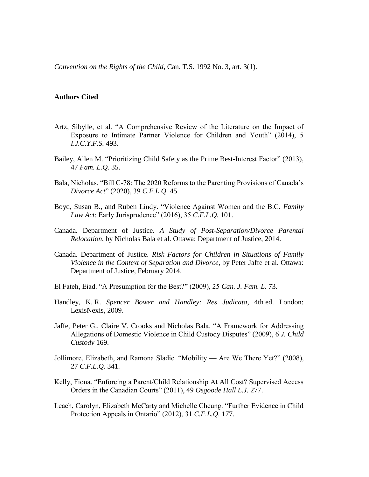*Convention on the Rights of the Child*, Can. T.S. 1992 No. 3, art. 3(1).

## **Authors Cited**

- Artz, Sibylle, et al. "A Comprehensive Review of the Literature on the Impact of Exposure to Intimate Partner Violence for Children and Youth" (2014), 5 *I.J.C.Y.F.S.* 493.
- Bailey, Allen M. "Prioritizing Child Safety as the Prime Best-Interest Factor" (2013), 47 *Fam. L.Q.* 35.
- Bala, Nicholas. "Bill C-78: The 2020 Reforms to the Parenting Provisions of Canada's *Divorce Act*" (2020), 39 *C.F.L.Q.* 45.
- Boyd, Susan B., and Ruben Lindy. "Violence Against Women and the B.C. *Family Law Act*: Early Jurisprudence" (2016), 35 *C.F.L.Q.* 101.
- Canada. Department of Justice. *A Study of Post-Separation/Divorce Parental Relocation*, by Nicholas Bala et al. Ottawa: Department of Justice, 2014.
- Canada. Department of Justice. *Risk Factors for Children in Situations of Family Violence in the Context of Separation and Divorce*, by Peter Jaffe et al. Ottawa: Department of Justice, February 2014.
- El Fateh, Eiad. "A Presumption for the Best?" (2009), 25 *Can. J. Fam. L.* 73.
- Handley, K. R. *Spencer Bower and Handley: Res Judicata*, 4th ed. London: LexisNexis, 2009.
- Jaffe, Peter G., Claire V. Crooks and Nicholas Bala. "A Framework for Addressing Allegations of Domestic Violence in Child Custody Disputes" (2009), 6 *J. Child Custody* 169.
- Jollimore, Elizabeth, and Ramona Sladic. "Mobility Are We There Yet?" (2008), 27 *C.F.L.Q.* 341.
- Kelly, Fiona. "Enforcing a Parent/Child Relationship At All Cost? Supervised Access Orders in the Canadian Courts" (2011), 49 *Osgoode Hall L.J.* 277.
- Leach, Carolyn, Elizabeth McCarty and Michelle Cheung. "Further Evidence in Child Protection Appeals in Ontario" (2012), 31 *C.F.L.Q.* 177.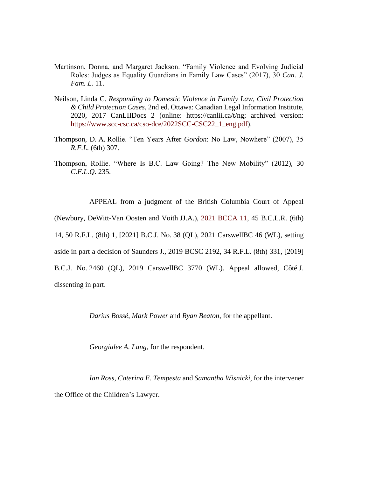- Martinson, Donna, and Margaret Jackson. "Family Violence and Evolving Judicial Roles: Judges as Equality Guardians in Family Law Cases" (2017), 30 *Can. J. Fam. L.* 11.
- Neilson, Linda C. *Responding to Domestic Violence in Family Law, Civil Protection & Child Protection Cases*, 2nd ed. Ottawa: Canadian Legal Information Institute, 2020, 2017 CanLIIDocs 2 (online: https://canlii.ca/t/ng; archived version: [https://www.scc-csc.ca/cso-dce/2022SCC-CSC22\\_1\\_eng.pdf\)](https://www.scc-csc.ca/cso-dce/2022SCC-CSC22_1_eng.pdf).
- Thompson, D. A. Rollie. "Ten Years After *Gordon*: No Law, Nowhere" (2007), 35 *R.F.L.* (6th) 307.
- Thompson, Rollie. "Where Is B.C. Law Going? The New Mobility" (2012), 30 *C.F.L.Q.* 235.

APPEAL from a judgment of the British Columbia Court of Appeal (Newbury, DeWitt-Van Oosten and Voith JJ.A.), [2021 BCCA 11,](https://www.bccourts.ca/jdb-txt/ca/21/00/2021BCCA0011.htm) 45 B.C.L.R. (6th) 14, 50 R.F.L. (8th) 1, [2021] B.C.J. No. 38 (QL), 2021 CarswellBC 46 (WL), setting aside in part a decision of Saunders J., 2019 BCSC 2192, 34 R.F.L. (8th) 331, [2019] B.C.J. No. 2460 (QL), 2019 CarswellBC 3770 (WL). Appeal allowed, Côté J. dissenting in part.

*Darius Bossé*, *Mark Power* and *Ryan Beaton*, for the appellant.

*Georgialee A. Lang*, for the respondent.

*Ian Ross*, *Caterina E. Tempesta* and *Samantha Wisnicki*, for the intervener the Office of the Children's Lawyer.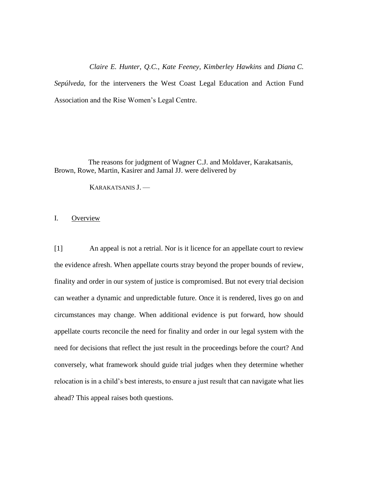*Claire E. Hunter*, *Q.C.*, *Kate Feeney*, *Kimberley Hawkins* and *Diana C. Sepúlveda*, for the interveners the West Coast Legal Education and Action Fund Association and the Rise Women's Legal Centre.

The reasons for judgment of Wagner C.J. and Moldaver, Karakatsanis, Brown, Rowe, Martin, Kasirer and Jamal JJ. were delivered by

KARAKATSANIS J. —

I. Overview

[1] An appeal is not a retrial. Nor is it licence for an appellate court to review the evidence afresh. When appellate courts stray beyond the proper bounds of review, finality and order in our system of justice is compromised. But not every trial decision can weather a dynamic and unpredictable future. Once it is rendered, lives go on and circumstances may change. When additional evidence is put forward, how should appellate courts reconcile the need for finality and order in our legal system with the need for decisions that reflect the just result in the proceedings before the court? And conversely, what framework should guide trial judges when they determine whether relocation is in a child's best interests, to ensure a just result that can navigate what lies ahead? This appeal raises both questions.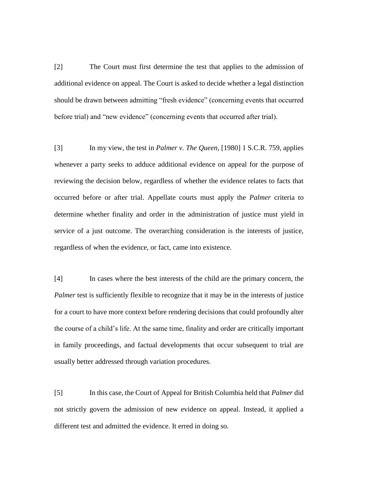[2] The Court must first determine the test that applies to the admission of additional evidence on appeal. The Court is asked to decide whether a legal distinction should be drawn between admitting "fresh evidence" (concerning events that occurred before trial) and "new evidence" (concerning events that occurred after trial).

[3] In my view, the test in *Palmer v. The Queen*, [1980] 1 S.C.R. 759, applies whenever a party seeks to adduce additional evidence on appeal for the purpose of reviewing the decision below, regardless of whether the evidence relates to facts that occurred before or after trial. Appellate courts must apply the *Palmer* criteria to determine whether finality and order in the administration of justice must yield in service of a just outcome. The overarching consideration is the interests of justice, regardless of when the evidence, or fact, came into existence.

[4] In cases where the best interests of the child are the primary concern, the *Palmer* test is sufficiently flexible to recognize that it may be in the interests of justice for a court to have more context before rendering decisions that could profoundly alter the course of a child's life. At the same time, finality and order are critically important in family proceedings, and factual developments that occur subsequent to trial are usually better addressed through variation procedures.

[5] In this case, the Court of Appeal for British Columbia held that *Palmer* did not strictly govern the admission of new evidence on appeal. Instead, it applied a different test and admitted the evidence. It erred in doing so.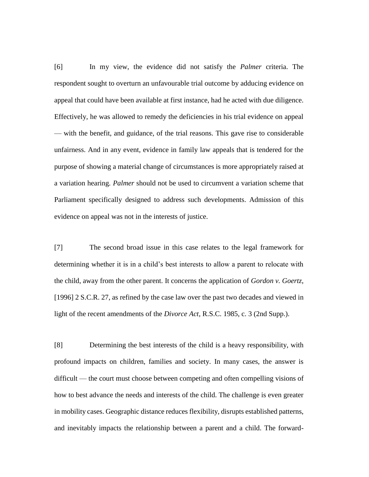[6] In my view, the evidence did not satisfy the *Palmer* criteria. The respondent sought to overturn an unfavourable trial outcome by adducing evidence on appeal that could have been available at first instance, had he acted with due diligence. Effectively, he was allowed to remedy the deficiencies in his trial evidence on appeal — with the benefit, and guidance, of the trial reasons. This gave rise to considerable unfairness. And in any event, evidence in family law appeals that is tendered for the purpose of showing a material change of circumstances is more appropriately raised at a variation hearing. *Palmer* should not be used to circumvent a variation scheme that Parliament specifically designed to address such developments. Admission of this evidence on appeal was not in the interests of justice.

[7] The second broad issue in this case relates to the legal framework for determining whether it is in a child's best interests to allow a parent to relocate with the child, away from the other parent. It concerns the application of *Gordon v. Goertz*, [1996] 2 S.C.R. 27, as refined by the case law over the past two decades and viewed in light of the recent amendments of the *Divorce Act*, R.S.C. 1985, c. 3 (2nd Supp.).

[8] Determining the best interests of the child is a heavy responsibility, with profound impacts on children, families and society. In many cases, the answer is difficult — the court must choose between competing and often compelling visions of how to best advance the needs and interests of the child. The challenge is even greater in mobility cases. Geographic distance reduces flexibility, disrupts established patterns, and inevitably impacts the relationship between a parent and a child. The forward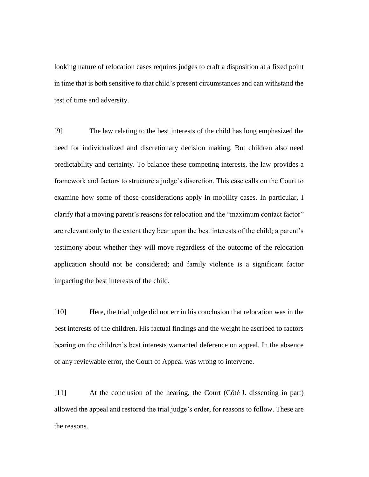looking nature of relocation cases requires judges to craft a disposition at a fixed point in time that is both sensitive to that child's present circumstances and can withstand the test of time and adversity.

[9] The law relating to the best interests of the child has long emphasized the need for individualized and discretionary decision making. But children also need predictability and certainty. To balance these competing interests, the law provides a framework and factors to structure a judge's discretion. This case calls on the Court to examine how some of those considerations apply in mobility cases. In particular, I clarify that a moving parent's reasons for relocation and the "maximum contact factor" are relevant only to the extent they bear upon the best interests of the child; a parent's testimony about whether they will move regardless of the outcome of the relocation application should not be considered; and family violence is a significant factor impacting the best interests of the child.

[10] Here, the trial judge did not err in his conclusion that relocation was in the best interests of the children. His factual findings and the weight he ascribed to factors bearing on the children's best interests warranted deference on appeal. In the absence of any reviewable error, the Court of Appeal was wrong to intervene.

[11] At the conclusion of the hearing, the Court (Côté J. dissenting in part) allowed the appeal and restored the trial judge's order, for reasons to follow. These are the reasons.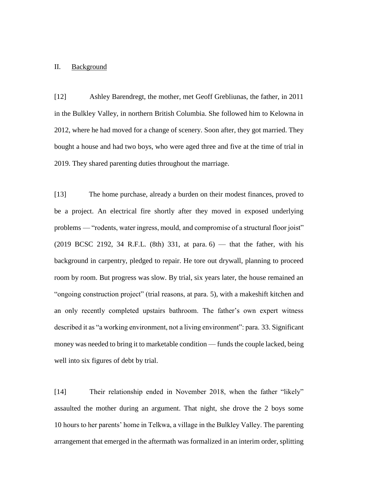#### II. Background

[12] Ashley Barendregt, the mother, met Geoff Grebliunas, the father, in 2011 in the Bulkley Valley, in northern British Columbia. She followed him to Kelowna in 2012, where he had moved for a change of scenery. Soon after, they got married. They bought a house and had two boys, who were aged three and five at the time of trial in 2019. They shared parenting duties throughout the marriage.

[13] The home purchase, already a burden on their modest finances, proved to be a project. An electrical fire shortly after they moved in exposed underlying problems — "rodents, water ingress, mould, and compromise of a structural floor joist"  $(2019 \text{ BCSC } 2192, 34 \text{ R.E.L. } (8th) 331, at para. 6)$  — that the father, with his background in carpentry, pledged to repair. He tore out drywall, planning to proceed room by room. But progress was slow. By trial, six years later, the house remained an "ongoing construction project" (trial reasons, at para. 5), with a makeshift kitchen and an only recently completed upstairs bathroom. The father's own expert witness described it as "a working environment, not a living environment": para. 33. Significant money was needed to bring it to marketable condition — funds the couple lacked, being well into six figures of debt by trial.

[14] Their relationship ended in November 2018, when the father "likely" assaulted the mother during an argument. That night, she drove the 2 boys some 10 hours to her parents' home in Telkwa, a village in the Bulkley Valley. The parenting arrangement that emerged in the aftermath was formalized in an interim order, splitting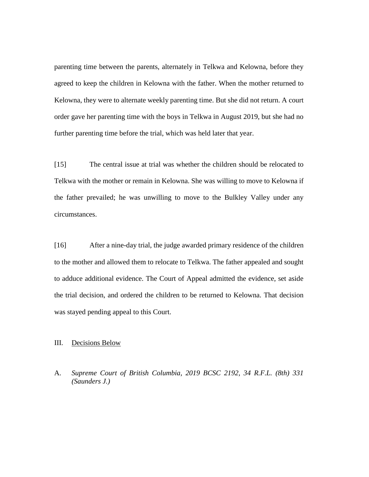parenting time between the parents, alternately in Telkwa and Kelowna, before they agreed to keep the children in Kelowna with the father. When the mother returned to Kelowna, they were to alternate weekly parenting time. But she did not return. A court order gave her parenting time with the boys in Telkwa in August 2019, but she had no further parenting time before the trial, which was held later that year.

[15] The central issue at trial was whether the children should be relocated to Telkwa with the mother or remain in Kelowna. She was willing to move to Kelowna if the father prevailed; he was unwilling to move to the Bulkley Valley under any circumstances.

[16] After a nine-day trial, the judge awarded primary residence of the children to the mother and allowed them to relocate to Telkwa. The father appealed and sought to adduce additional evidence. The Court of Appeal admitted the evidence, set aside the trial decision, and ordered the children to be returned to Kelowna. That decision was stayed pending appeal to this Court.

### III. Decisions Below

A. *Supreme Court of British Columbia, 2019 BCSC 2192, 34 R.F.L. (8th) 331 (Saunders J.)*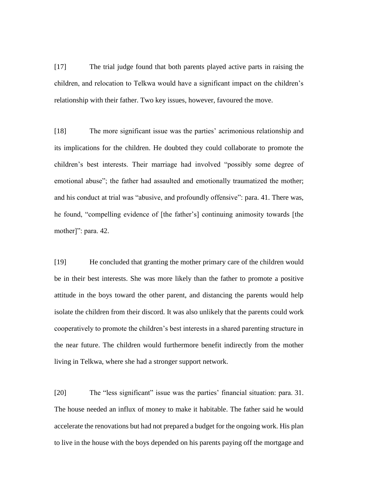[17] The trial judge found that both parents played active parts in raising the children, and relocation to Telkwa would have a significant impact on the children's relationship with their father. Two key issues, however, favoured the move.

[18] The more significant issue was the parties' acrimonious relationship and its implications for the children. He doubted they could collaborate to promote the children's best interests. Their marriage had involved "possibly some degree of emotional abuse"; the father had assaulted and emotionally traumatized the mother; and his conduct at trial was "abusive, and profoundly offensive": para. 41. There was, he found, "compelling evidence of [the father's] continuing animosity towards [the mother]": para. 42.

[19] He concluded that granting the mother primary care of the children would be in their best interests. She was more likely than the father to promote a positive attitude in the boys toward the other parent, and distancing the parents would help isolate the children from their discord. It was also unlikely that the parents could work cooperatively to promote the children's best interests in a shared parenting structure in the near future. The children would furthermore benefit indirectly from the mother living in Telkwa, where she had a stronger support network.

[20] The "less significant" issue was the parties' financial situation: para. 31. The house needed an influx of money to make it habitable. The father said he would accelerate the renovations but had not prepared a budget for the ongoing work. His plan to live in the house with the boys depended on his parents paying off the mortgage and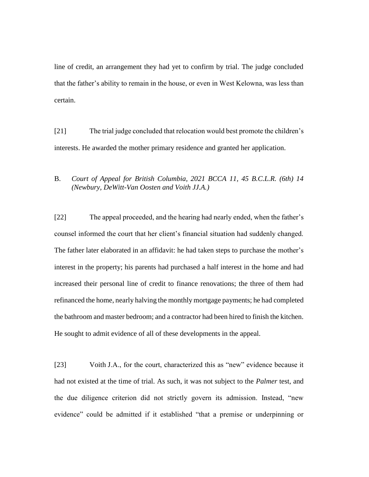line of credit, an arrangement they had yet to confirm by trial. The judge concluded that the father's ability to remain in the house, or even in West Kelowna, was less than certain.

[21] The trial judge concluded that relocation would best promote the children's interests. He awarded the mother primary residence and granted her application.

# B. *Court of Appeal for British Columbia, 2021 BCCA 11, 45 B.C.L.R. (6th) 14 (Newbury, DeWitt-Van Oosten and Voith JJ.A.)*

[22] The appeal proceeded, and the hearing had nearly ended, when the father's counsel informed the court that her client's financial situation had suddenly changed. The father later elaborated in an affidavit: he had taken steps to purchase the mother's interest in the property; his parents had purchased a half interest in the home and had increased their personal line of credit to finance renovations; the three of them had refinanced the home, nearly halving the monthly mortgage payments; he had completed the bathroom and master bedroom; and a contractor had been hired to finish the kitchen. He sought to admit evidence of all of these developments in the appeal.

[23] Voith J.A., for the court, characterized this as "new" evidence because it had not existed at the time of trial. As such, it was not subject to the *Palmer* test, and the due diligence criterion did not strictly govern its admission. Instead, "new evidence" could be admitted if it established "that a premise or underpinning or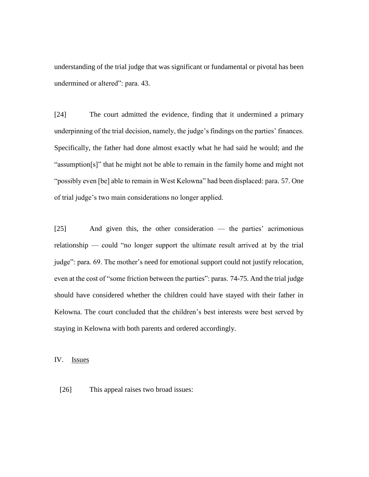understanding of the trial judge that was significant or fundamental or pivotal has been undermined or altered": para. 43.

[24] The court admitted the evidence, finding that it undermined a primary underpinning of the trial decision, namely, the judge's findings on the parties' finances. Specifically, the father had done almost exactly what he had said he would; and the "assumption[s]" that he might not be able to remain in the family home and might not "possibly even [be] able to remain in West Kelowna" had been displaced: para. 57. One of trial judge's two main considerations no longer applied.

[25] And given this, the other consideration — the parties' acrimonious relationship — could "no longer support the ultimate result arrived at by the trial judge": para. 69. The mother's need for emotional support could not justify relocation, even at the cost of "some friction between the parties": paras. 74-75. And the trial judge should have considered whether the children could have stayed with their father in Kelowna. The court concluded that the children's best interests were best served by staying in Kelowna with both parents and ordered accordingly.

IV. Issues

[26] This appeal raises two broad issues: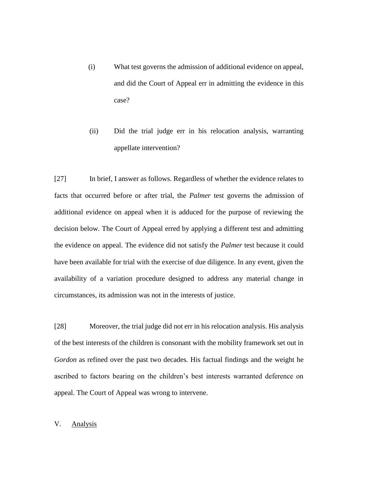- (i) What test governs the admission of additional evidence on appeal, and did the Court of Appeal err in admitting the evidence in this case?
- (ii) Did the trial judge err in his relocation analysis, warranting appellate intervention?

[27] In brief, I answer as follows. Regardless of whether the evidence relates to facts that occurred before or after trial, the *Palmer* test governs the admission of additional evidence on appeal when it is adduced for the purpose of reviewing the decision below. The Court of Appeal erred by applying a different test and admitting the evidence on appeal. The evidence did not satisfy the *Palmer* test because it could have been available for trial with the exercise of due diligence. In any event, given the availability of a variation procedure designed to address any material change in circumstances, its admission was not in the interests of justice.

[28] Moreover, the trial judge did not err in his relocation analysis. His analysis of the best interests of the children is consonant with the mobility framework set out in *Gordon* as refined over the past two decades. His factual findings and the weight he ascribed to factors bearing on the children's best interests warranted deference on appeal. The Court of Appeal was wrong to intervene.

## V. Analysis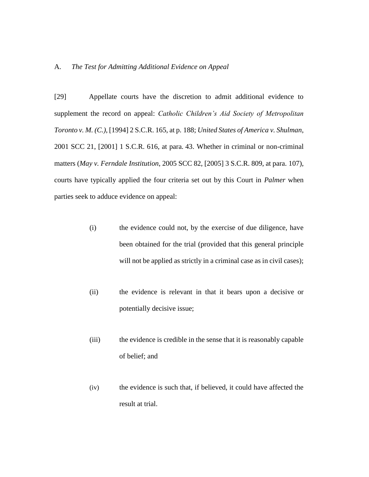### A. *The Test for Admitting Additional Evidence on Appeal*

[29] Appellate courts have the discretion to admit additional evidence to supplement the record on appeal: *Catholic Children's Aid Society of Metropolitan Toronto v. M. (C.)*, [1994] 2 S.C.R. 165, at p. 188; *United States of America v. Shulman*, 2001 SCC 21, [2001] 1 S.C.R. 616, at para. 43. Whether in criminal or non-criminal matters (*May v. Ferndale Institution*, 2005 SCC 82, [2005] 3 S.C.R. 809, at para. 107), courts have typically applied the four criteria set out by this Court in *Palmer* when parties seek to adduce evidence on appeal:

- (i) the evidence could not, by the exercise of due diligence, have been obtained for the trial (provided that this general principle will not be applied as strictly in a criminal case as in civil cases);
- (ii) the evidence is relevant in that it bears upon a decisive or potentially decisive issue;
- (iii) the evidence is credible in the sense that it is reasonably capable of belief; and
- (iv) the evidence is such that, if believed, it could have affected the result at trial.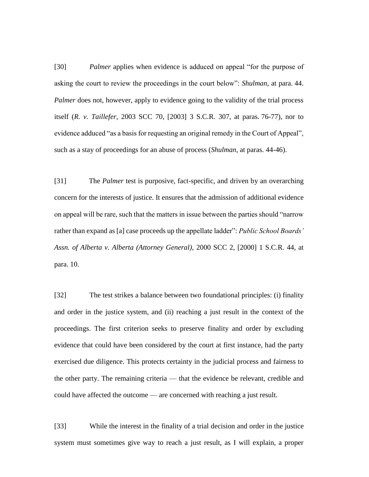[30] *Palmer* applies when evidence is adduced on appeal "for the purpose of asking the court to review the proceedings in the court below": *Shulman*, at para. 44. *Palmer* does not, however, apply to evidence going to the validity of the trial process itself (*R. v. Taillefer*, 2003 SCC 70, [2003] 3 S.C.R. 307, at paras. 76-77), nor to evidence adduced "as a basis for requesting an original remedy in the Court of Appeal", such as a stay of proceedings for an abuse of process (*Shulman*, at paras. 44-46).

[31] The *Palmer* test is purposive, fact-specific, and driven by an overarching concern for the interests of justice. It ensures that the admission of additional evidence on appeal will be rare, such that the matters in issue between the parties should "narrow rather than expand as [a] case proceeds up the appellate ladder": *Public School Boards' Assn. of Alberta v. Alberta (Attorney General)*, 2000 SCC 2, [2000] 1 S.C.R. 44, at para. 10.

[32] The test strikes a balance between two foundational principles: (i) finality and order in the justice system, and (ii) reaching a just result in the context of the proceedings. The first criterion seeks to preserve finality and order by excluding evidence that could have been considered by the court at first instance, had the party exercised due diligence. This protects certainty in the judicial process and fairness to the other party. The remaining criteria — that the evidence be relevant, credible and could have affected the outcome — are concerned with reaching a just result.

[33] While the interest in the finality of a trial decision and order in the justice system must sometimes give way to reach a just result, as I will explain, a proper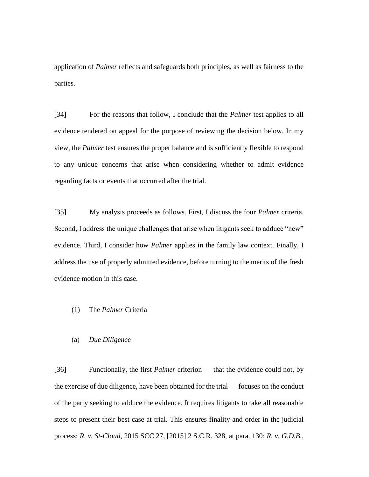application of *Palmer* reflects and safeguards both principles, as well as fairness to the parties.

[34] For the reasons that follow, I conclude that the *Palmer* test applies to all evidence tendered on appeal for the purpose of reviewing the decision below. In my view, the *Palmer* test ensures the proper balance and is sufficiently flexible to respond to any unique concerns that arise when considering whether to admit evidence regarding facts or events that occurred after the trial.

[35] My analysis proceeds as follows. First, I discuss the four *Palmer* criteria. Second, I address the unique challenges that arise when litigants seek to adduce "new" evidence. Third, I consider how *Palmer* applies in the family law context. Finally, I address the use of properly admitted evidence, before turning to the merits of the fresh evidence motion in this case.

## (1) The *Palmer* Criteria

#### (a) *Due Diligence*

[36] Functionally, the first *Palmer* criterion — that the evidence could not, by the exercise of due diligence, have been obtained for the trial — focuses on the conduct of the party seeking to adduce the evidence. It requires litigants to take all reasonable steps to present their best case at trial. This ensures finality and order in the judicial process: *R. v. St-Cloud*, 2015 SCC 27, [2015] 2 S.C.R. 328, at para. 130; *R. v. G.D.B.*,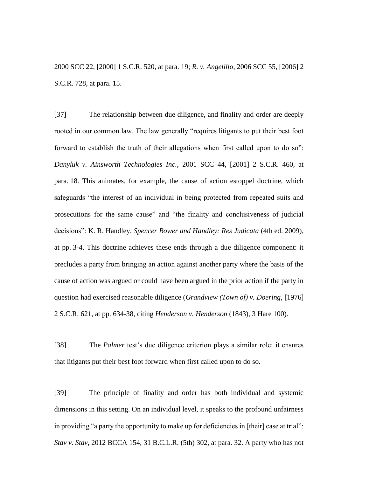2000 SCC 22, [2000] 1 S.C.R. 520, at para. 19; *R. v. Angelillo*, 2006 SCC 55, [2006] 2 S.C.R. 728, at para. 15.

[37] The relationship between due diligence, and finality and order are deeply rooted in our common law. The law generally "requires litigants to put their best foot forward to establish the truth of their allegations when first called upon to do so": *Danyluk v. Ainsworth Technologies Inc.*, 2001 SCC 44, [2001] 2 S.C.R. 460, at para. 18. This animates, for example, the cause of action estoppel doctrine, which safeguards "the interest of an individual in being protected from repeated suits and prosecutions for the same cause" and "the finality and conclusiveness of judicial decisions": K. R. Handley, *Spencer Bower and Handley: Res Judicata* (4th ed. 2009), at pp. 3-4. This doctrine achieves these ends through a due diligence component: it precludes a party from bringing an action against another party where the basis of the cause of action was argued or could have been argued in the prior action if the party in question had exercised reasonable diligence (*Grandview (Town of) v. Doering*, [1976] 2 S.C.R. 621, at pp. 634-38, citing *Henderson v. Henderson* (1843), 3 Hare 100).

[38] The *Palmer* test's due diligence criterion plays a similar role: it ensures that litigants put their best foot forward when first called upon to do so.

[39] The principle of finality and order has both individual and systemic dimensions in this setting. On an individual level, it speaks to the profound unfairness in providing "a party the opportunity to make up for deficiencies in [their] case at trial": *Stav v. Stav*, 2012 BCCA 154, 31 B.C.L.R. (5th) 302, at para. 32. A party who has not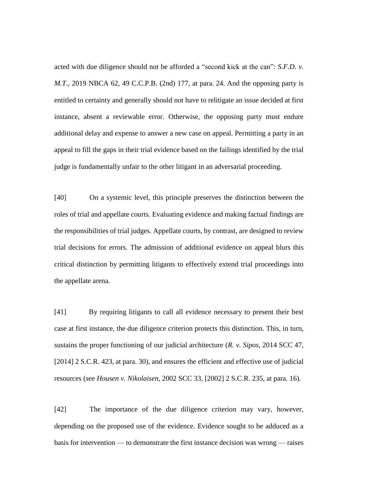acted with due diligence should not be afforded a "second kick at the can": *S.F.D. v. M.T.*, 2019 NBCA 62, 49 C.C.P.B. (2nd) 177, at para. 24. And the opposing party is entitled to certainty and generally should not have to relitigate an issue decided at first instance, absent a reviewable error. Otherwise, the opposing party must endure additional delay and expense to answer a new case on appeal. Permitting a party in an appeal to fill the gaps in their trial evidence based on the failings identified by the trial judge is fundamentally unfair to the other litigant in an adversarial proceeding.

[40] On a systemic level, this principle preserves the distinction between the roles of trial and appellate courts. Evaluating evidence and making factual findings are the responsibilities of trial judges. Appellate courts, by contrast, are designed to review trial decisions for errors. The admission of additional evidence on appeal blurs this critical distinction by permitting litigants to effectively extend trial proceedings into the appellate arena.

[41] By requiring litigants to call all evidence necessary to present their best case at first instance, the due diligence criterion protects this distinction. This, in turn, sustains the proper functioning of our judicial architecture (*R. v. Sipos*, 2014 SCC 47, [2014] 2 S.C.R. 423, at para. 30), and ensures the efficient and effective use of judicial resources (see *Housen v. Nikolaisen*, 2002 SCC 33, [2002] 2 S.C.R. 235, at para. 16).

[42] The importance of the due diligence criterion may vary, however, depending on the proposed use of the evidence. Evidence sought to be adduced as a basis for intervention — to demonstrate the first instance decision was wrong — raises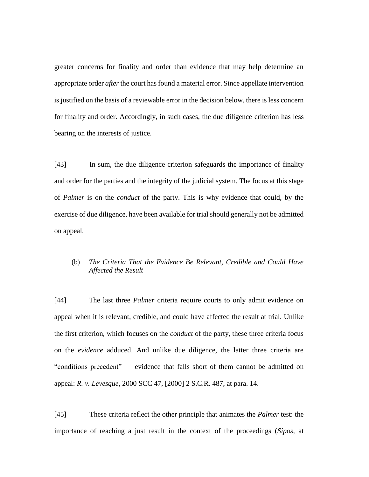greater concerns for finality and order than evidence that may help determine an appropriate order *after* the court has found a material error. Since appellate intervention is justified on the basis of a reviewable error in the decision below, there is less concern for finality and order. Accordingly, in such cases, the due diligence criterion has less bearing on the interests of justice.

[43] In sum, the due diligence criterion safeguards the importance of finality and order for the parties and the integrity of the judicial system. The focus at this stage of *Palmer* is on the *conduct* of the party. This is why evidence that could, by the exercise of due diligence, have been available for trial should generally not be admitted on appeal.

# (b) *The Criteria That the Evidence Be Relevant, Credible and Could Have Affected the Result*

[44] The last three *Palmer* criteria require courts to only admit evidence on appeal when it is relevant, credible, and could have affected the result at trial. Unlike the first criterion, which focuses on the *conduct* of the party, these three criteria focus on the *evidence* adduced. And unlike due diligence, the latter three criteria are "conditions precedent" — evidence that falls short of them cannot be admitted on appeal: *R. v. Lévesque*, 2000 SCC 47, [2000] 2 S.C.R. 487, at para. 14.

[45] These criteria reflect the other principle that animates the *Palmer* test: the importance of reaching a just result in the context of the proceedings (*Sipos*, at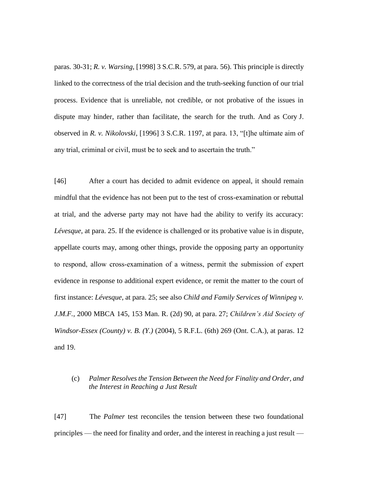paras. 30-31; *R. v. Warsing*, [1998] 3 S.C.R. 579, at para. 56). This principle is directly linked to the correctness of the trial decision and the truth-seeking function of our trial process. Evidence that is unreliable, not credible, or not probative of the issues in dispute may hinder, rather than facilitate, the search for the truth. And as Cory J. observed in *R. v. Nikolovski*, [1996] 3 S.C.R. 1197, at para. 13, "[t]he ultimate aim of any trial, criminal or civil, must be to seek and to ascertain the truth."

[46] After a court has decided to admit evidence on appeal, it should remain mindful that the evidence has not been put to the test of cross-examination or rebuttal at trial, and the adverse party may not have had the ability to verify its accuracy: *Lévesque*, at para. 25. If the evidence is challenged or its probative value is in dispute, appellate courts may, among other things, provide the opposing party an opportunity to respond, allow cross‑examination of a witness, permit the submission of expert evidence in response to additional expert evidence, or remit the matter to the court of first instance: *Lévesque*, at para. 25; see also *Child and Family Services of Winnipeg v. J.M.F.*, 2000 MBCA 145, 153 Man. R. (2d) 90, at para. 27; *Children's Aid Society of Windsor-Essex (County) v. B. (Y.)* (2004), 5 R.F.L. (6th) 269 (Ont. C.A.), at paras. 12 and 19.

## (c) *Palmer Resolves the Tension Between the Need for Finality and Order, and the Interest in Reaching a Just Result*

[47] The *Palmer* test reconciles the tension between these two foundational principles — the need for finality and order, and the interest in reaching a just result —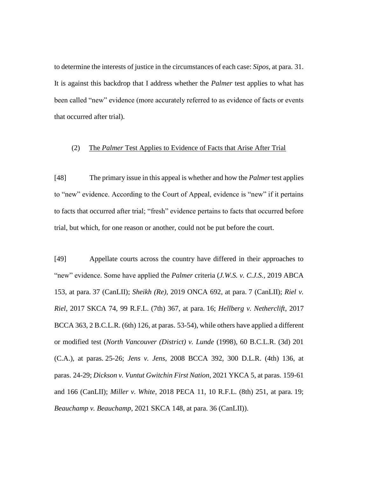to determine the interests of justice in the circumstances of each case: *Sipos*, at para. 31. It is against this backdrop that I address whether the *Palmer* test applies to what has been called "new" evidence (more accurately referred to as evidence of facts or events that occurred after trial).

### (2) The *Palmer* Test Applies to Evidence of Facts that Arise After Trial

[48] The primary issue in this appeal is whether and how the *Palmer* test applies to "new" evidence. According to the Court of Appeal, evidence is "new" if it pertains to facts that occurred after trial; "fresh" evidence pertains to facts that occurred before trial, but which, for one reason or another, could not be put before the court.

[49] Appellate courts across the country have differed in their approaches to "new" evidence. Some have applied the *Palmer* criteria (*J.W.S. v. C.J.S.*, 2019 ABCA 153, at para. 37 (CanLII); *Sheikh (Re)*, 2019 ONCA 692, at para. 7 (CanLII); *Riel v. Riel*, 2017 SKCA 74, 99 R.F.L. (7th) 367, at para. 16; *Hellberg v. Netherclift*, 2017 BCCA 363, 2 B.C.L.R. (6th) 126, at paras. 53-54), while others have applied a different or modified test (*North Vancouver (District) v. Lunde* (1998), 60 B.C.L.R. (3d) 201 (C.A.), at paras. 25-26; *Jens v. Jens*, 2008 BCCA 392, 300 D.L.R. (4th) 136, at paras. 24-29; *Dickson v. Vuntut Gwitchin First Nation*, 2021 YKCA 5, at paras. 159-61 and 166 (CanLII); *Miller v. White*, 2018 PECA 11, 10 R.F.L. (8th) 251, at para. 19; *Beauchamp v. Beauchamp*, 2021 SKCA 148, at para. 36 (CanLII)).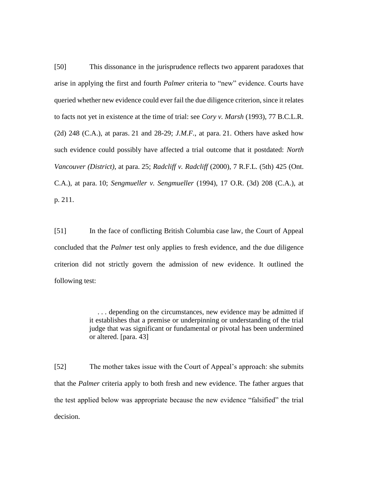[50] This dissonance in the jurisprudence reflects two apparent paradoxes that arise in applying the first and fourth *Palmer* criteria to "new" evidence. Courts have queried whether new evidence could ever fail the due diligence criterion, since it relates to facts not yet in existence at the time of trial: see *Cory v. Marsh* (1993), 77 B.C.L.R. (2d) 248 (C.A.), at paras. 21 and 28-29; *J.M.F.*, at para. 21. Others have asked how such evidence could possibly have affected a trial outcome that it postdated: *North Vancouver (District)*, at para. 25; *Radcliff v. Radcliff* (2000), 7 R.F.L. (5th) 425 (Ont. C.A.), at para. 10; *Sengmueller v. Sengmueller* (1994), 17 O.R. (3d) 208 (C.A.), at p. 211.

[51] In the face of conflicting British Columbia case law, the Court of Appeal concluded that the *Palmer* test only applies to fresh evidence, and the due diligence criterion did not strictly govern the admission of new evidence. It outlined the following test:

> . . . depending on the circumstances, new evidence may be admitted if it establishes that a premise or underpinning or understanding of the trial judge that was significant or fundamental or pivotal has been undermined or altered. [para. 43]

[52] The mother takes issue with the Court of Appeal's approach: she submits that the *Palmer* criteria apply to both fresh and new evidence. The father argues that the test applied below was appropriate because the new evidence "falsified" the trial decision.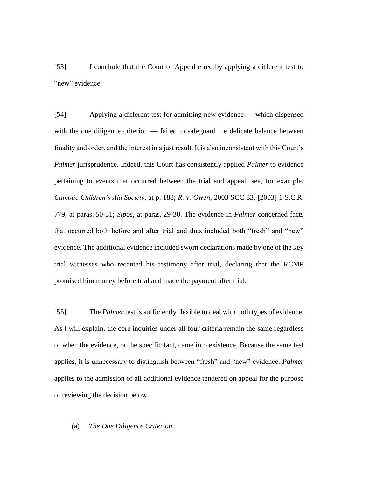[53] I conclude that the Court of Appeal erred by applying a different test to "new" evidence.

[54] Applying a different test for admitting new evidence — which dispensed with the due diligence criterion — failed to safeguard the delicate balance between finality and order, and the interest in a just result. It is also inconsistent with this Court's *Palmer* jurisprudence. Indeed, this Court has consistently applied *Palmer* to evidence pertaining to events that occurred between the trial and appeal: see, for example, *Catholic Children's Aid Society*, at p. 188; *R. v. Owen*, 2003 SCC 33, [2003] 1 S.C.R. 779, at paras. 50-51; *Sipos*, at paras. 29-30. The evidence in *Palmer* concerned facts that occurred both before and after trial and thus included both "fresh" and "new" evidence. The additional evidence included sworn declarations made by one of the key trial witnesses who recanted his testimony after trial, declaring that the RCMP promised him money before trial and made the payment after trial.

[55] The *Palmer* test is sufficiently flexible to deal with both types of evidence. As I will explain, the core inquiries under all four criteria remain the same regardless of when the evidence, or the specific fact, came into existence. Because the same test applies, it is unnecessary to distinguish between "fresh" and "new" evidence. *Palmer* applies to the admission of all additional evidence tendered on appeal for the purpose of reviewing the decision below.

#### (a) *The Due Diligence Criterion*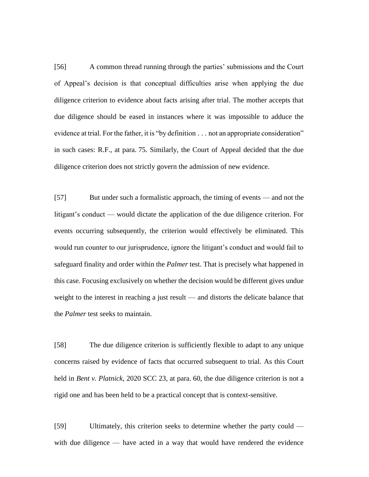[56] A common thread running through the parties' submissions and the Court of Appeal's decision is that conceptual difficulties arise when applying the due diligence criterion to evidence about facts arising after trial. The mother accepts that due diligence should be eased in instances where it was impossible to adduce the evidence at trial. For the father, it is "by definition . . . not an appropriate consideration" in such cases: R.F., at para. 75. Similarly, the Court of Appeal decided that the due diligence criterion does not strictly govern the admission of new evidence.

[57] But under such a formalistic approach, the timing of events — and not the litigant's conduct — would dictate the application of the due diligence criterion. For events occurring subsequently, the criterion would effectively be eliminated. This would run counter to our jurisprudence, ignore the litigant's conduct and would fail to safeguard finality and order within the *Palmer* test. That is precisely what happened in this case. Focusing exclusively on whether the decision would be different gives undue weight to the interest in reaching a just result — and distorts the delicate balance that the *Palmer* test seeks to maintain.

[58] The due diligence criterion is sufficiently flexible to adapt to any unique concerns raised by evidence of facts that occurred subsequent to trial. As this Court held in *Bent v. Platnick*, 2020 SCC 23, at para. 60, the due diligence criterion is not a rigid one and has been held to be a practical concept that is context-sensitive.

[59] Ultimately, this criterion seeks to determine whether the party could with due diligence — have acted in a way that would have rendered the evidence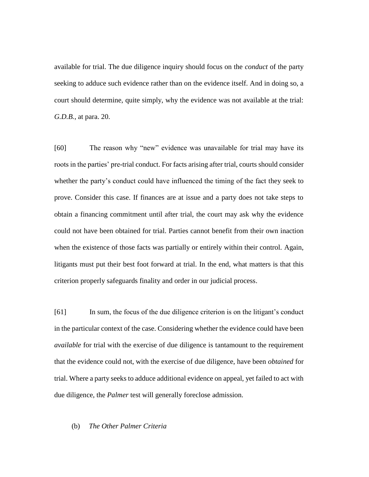available for trial. The due diligence inquiry should focus on the *conduct* of the party seeking to adduce such evidence rather than on the evidence itself. And in doing so, a court should determine, quite simply, why the evidence was not available at the trial: *G.D.B.*, at para. 20.

[60] The reason why "new" evidence was unavailable for trial may have its roots in the parties' pre-trial conduct. For facts arising after trial, courts should consider whether the party's conduct could have influenced the timing of the fact they seek to prove. Consider this case. If finances are at issue and a party does not take steps to obtain a financing commitment until after trial, the court may ask why the evidence could not have been obtained for trial. Parties cannot benefit from their own inaction when the existence of those facts was partially or entirely within their control. Again, litigants must put their best foot forward at trial. In the end, what matters is that this criterion properly safeguards finality and order in our judicial process.

[61] In sum, the focus of the due diligence criterion is on the litigant's conduct in the particular context of the case. Considering whether the evidence could have been *available* for trial with the exercise of due diligence is tantamount to the requirement that the evidence could not, with the exercise of due diligence, have been *obtained* for trial. Where a party seeks to adduce additional evidence on appeal, yet failed to act with due diligence, the *Palmer* test will generally foreclose admission.

#### (b) *The Other Palmer Criteria*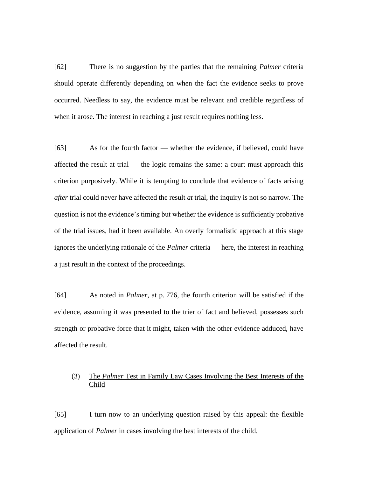[62] There is no suggestion by the parties that the remaining *Palmer* criteria should operate differently depending on when the fact the evidence seeks to prove occurred. Needless to say, the evidence must be relevant and credible regardless of when it arose. The interest in reaching a just result requires nothing less.

[63] As for the fourth factor — whether the evidence, if believed, could have affected the result at trial — the logic remains the same: a court must approach this criterion purposively. While it is tempting to conclude that evidence of facts arising *after* trial could never have affected the result *at* trial, the inquiry is not so narrow. The question is not the evidence's timing but whether the evidence is sufficiently probative of the trial issues, had it been available. An overly formalistic approach at this stage ignores the underlying rationale of the *Palmer* criteria — here, the interest in reaching a just result in the context of the proceedings.

[64] As noted in *Palmer*, at p. 776, the fourth criterion will be satisfied if the evidence, assuming it was presented to the trier of fact and believed, possesses such strength or probative force that it might, taken with the other evidence adduced, have affected the result.

## (3) The *Palmer* Test in Family Law Cases Involving the Best Interests of the Child

[65] I turn now to an underlying question raised by this appeal: the flexible application of *Palmer* in cases involving the best interests of the child.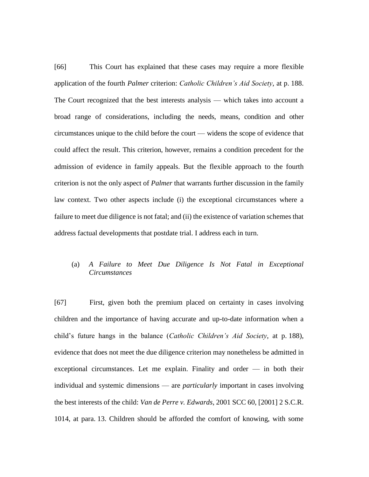[66] This Court has explained that these cases may require a more flexible application of the fourth *Palmer* criterion: *Catholic Children's Aid Society*, at p. 188. The Court recognized that the best interests analysis — which takes into account a broad range of considerations, including the needs, means, condition and other circumstances unique to the child before the court — widens the scope of evidence that could affect the result. This criterion, however, remains a condition precedent for the admission of evidence in family appeals. But the flexible approach to the fourth criterion is not the only aspect of *Palmer* that warrants further discussion in the family law context. Two other aspects include (i) the exceptional circumstances where a failure to meet due diligence is not fatal; and (ii) the existence of variation schemes that address factual developments that postdate trial. I address each in turn.

## (a) *A Failure to Meet Due Diligence Is Not Fatal in Exceptional Circumstances*

[67] First, given both the premium placed on certainty in cases involving children and the importance of having accurate and up-to-date information when a child's future hangs in the balance (*Catholic Children's Aid Society*, at p. 188), evidence that does not meet the due diligence criterion may nonetheless be admitted in exceptional circumstances. Let me explain. Finality and order — in both their individual and systemic dimensions — are *particularly* important in cases involving the best interests of the child: *Van de Perre v. Edwards*, 2001 SCC 60, [2001] 2 S.C.R. 1014, at para. 13. Children should be afforded the comfort of knowing, with some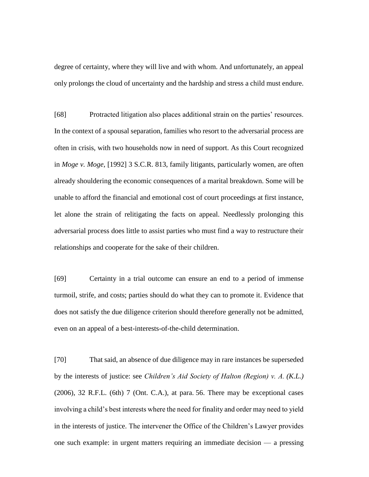degree of certainty, where they will live and with whom. And unfortunately, an appeal only prolongs the cloud of uncertainty and the hardship and stress a child must endure.

[68] Protracted litigation also places additional strain on the parties' resources. In the context of a spousal separation, families who resort to the adversarial process are often in crisis, with two households now in need of support. As this Court recognized in *Moge v. Moge*, [1992] 3 S.C.R. 813, family litigants, particularly women, are often already shouldering the economic consequences of a marital breakdown. Some will be unable to afford the financial and emotional cost of court proceedings at first instance, let alone the strain of relitigating the facts on appeal. Needlessly prolonging this adversarial process does little to assist parties who must find a way to restructure their relationships and cooperate for the sake of their children.

[69] Certainty in a trial outcome can ensure an end to a period of immense turmoil, strife, and costs; parties should do what they can to promote it. Evidence that does not satisfy the due diligence criterion should therefore generally not be admitted, even on an appeal of a best-interests-of-the-child determination.

[70] That said, an absence of due diligence may in rare instances be superseded by the interests of justice: see *Children's Aid Society of Halton (Region) v. A. (K.L.)*  (2006), 32 R.F.L. (6th) 7 (Ont. C.A.), at para. 56. There may be exceptional cases involving a child's best interests where the need for finality and order may need to yield in the interests of justice. The intervener the Office of the Children's Lawyer provides one such example: in urgent matters requiring an immediate decision — a pressing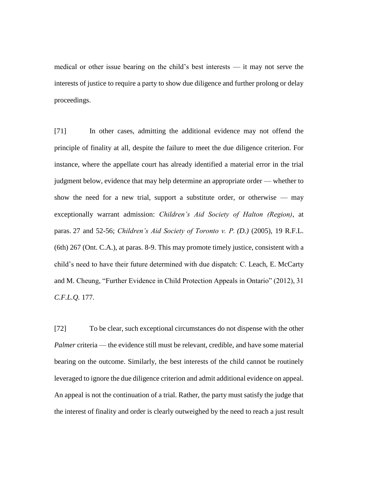medical or other issue bearing on the child's best interests — it may not serve the interests of justice to require a party to show due diligence and further prolong or delay proceedings.

[71] In other cases, admitting the additional evidence may not offend the principle of finality at all, despite the failure to meet the due diligence criterion. For instance, where the appellate court has already identified a material error in the trial judgment below, evidence that may help determine an appropriate order — whether to show the need for a new trial, support a substitute order, or otherwise  $-$  may exceptionally warrant admission: *Children's Aid Society of Halton (Region)*, at paras. 27 and 52-56; *Children's Aid Society of Toronto v. P. (D.)* (2005), 19 R.F.L. (6th) 267 (Ont. C.A.), at paras. 8-9. This may promote timely justice, consistent with a child's need to have their future determined with due dispatch: C. Leach, E. McCarty and M. Cheung, "Further Evidence in Child Protection Appeals in Ontario" (2012), 31 *C.F.L.Q.* 177.

[72] To be clear, such exceptional circumstances do not dispense with the other *Palmer* criteria — the evidence still must be relevant, credible, and have some material bearing on the outcome. Similarly, the best interests of the child cannot be routinely leveraged to ignore the due diligence criterion and admit additional evidence on appeal. An appeal is not the continuation of a trial. Rather, the party must satisfy the judge that the interest of finality and order is clearly outweighed by the need to reach a just result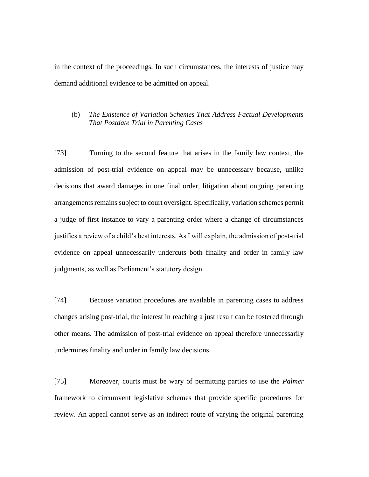in the context of the proceedings. In such circumstances, the interests of justice may demand additional evidence to be admitted on appeal.

## (b) *The Existence of Variation Schemes That Address Factual Developments That Postdate Trial in Parenting Cases*

[73] Turning to the second feature that arises in the family law context, the admission of post-trial evidence on appeal may be unnecessary because, unlike decisions that award damages in one final order, litigation about ongoing parenting arrangements remains subject to court oversight. Specifically, variation schemes permit a judge of first instance to vary a parenting order where a change of circumstances justifies a review of a child's best interests. As I will explain, the admission of post-trial evidence on appeal unnecessarily undercuts both finality and order in family law judgments, as well as Parliament's statutory design.

[74] Because variation procedures are available in parenting cases to address changes arising post-trial, the interest in reaching a just result can be fostered through other means. The admission of post-trial evidence on appeal therefore unnecessarily undermines finality and order in family law decisions.

[75] Moreover, courts must be wary of permitting parties to use the *Palmer*  framework to circumvent legislative schemes that provide specific procedures for review. An appeal cannot serve as an indirect route of varying the original parenting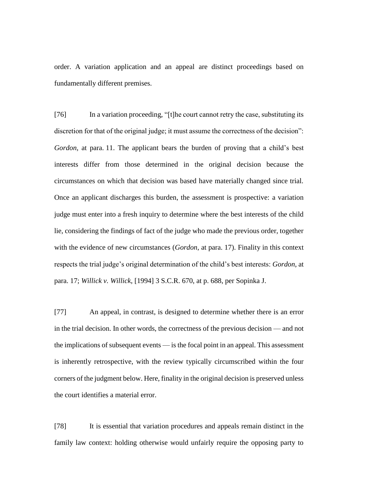order. A variation application and an appeal are distinct proceedings based on fundamentally different premises.

[76] In a variation proceeding, "[t]he court cannot retry the case, substituting its discretion for that of the original judge; it must assume the correctness of the decision": *Gordon*, at para. 11. The applicant bears the burden of proving that a child's best interests differ from those determined in the original decision because the circumstances on which that decision was based have materially changed since trial. Once an applicant discharges this burden, the assessment is prospective: a variation judge must enter into a fresh inquiry to determine where the best interests of the child lie, considering the findings of fact of the judge who made the previous order, together with the evidence of new circumstances (*Gordon*, at para. 17). Finality in this context respects the trial judge's original determination of the child's best interests: *Gordon*, at para. 17; *Willick v. Willick*, [1994] 3 S.C.R. 670, at p. 688, per Sopinka J.

[77] An appeal, in contrast, is designed to determine whether there is an error in the trial decision. In other words, the correctness of the previous decision — and not the implications of subsequent events — is the focal point in an appeal. This assessment is inherently retrospective, with the review typically circumscribed within the four corners of the judgment below. Here, finality in the original decision is preserved unless the court identifies a material error.

[78] It is essential that variation procedures and appeals remain distinct in the family law context: holding otherwise would unfairly require the opposing party to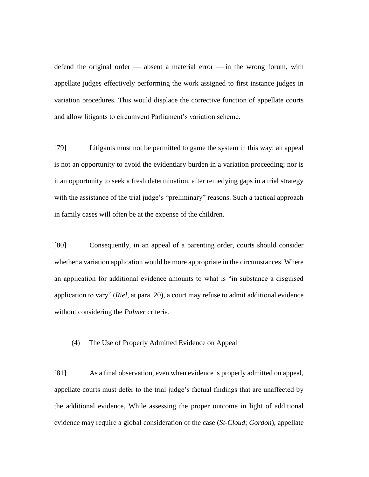defend the original order — absent a material error — in the wrong forum, with appellate judges effectively performing the work assigned to first instance judges in variation procedures. This would displace the corrective function of appellate courts and allow litigants to circumvent Parliament's variation scheme.

[79] Litigants must not be permitted to game the system in this way: an appeal is not an opportunity to avoid the evidentiary burden in a variation proceeding; nor is it an opportunity to seek a fresh determination, after remedying gaps in a trial strategy with the assistance of the trial judge's "preliminary" reasons. Such a tactical approach in family cases will often be at the expense of the children.

[80] Consequently, in an appeal of a parenting order, courts should consider whether a variation application would be more appropriate in the circumstances. Where an application for additional evidence amounts to what is "in substance a disguised application to vary" (*Riel*, at para. 20), a court may refuse to admit additional evidence without considering the *Palmer* criteria.

### (4) The Use of Properly Admitted Evidence on Appeal

[81] As a final observation, even when evidence is properly admitted on appeal, appellate courts must defer to the trial judge's factual findings that are unaffected by the additional evidence. While assessing the proper outcome in light of additional evidence may require a global consideration of the case (*St-Cloud*; *Gordon*), appellate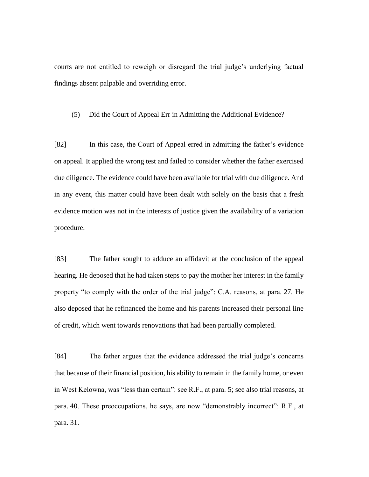courts are not entitled to reweigh or disregard the trial judge's underlying factual findings absent palpable and overriding error.

#### (5) Did the Court of Appeal Err in Admitting the Additional Evidence?

[82] In this case, the Court of Appeal erred in admitting the father's evidence on appeal. It applied the wrong test and failed to consider whether the father exercised due diligence. The evidence could have been available for trial with due diligence. And in any event, this matter could have been dealt with solely on the basis that a fresh evidence motion was not in the interests of justice given the availability of a variation procedure.

[83] The father sought to adduce an affidavit at the conclusion of the appeal hearing. He deposed that he had taken steps to pay the mother her interest in the family property "to comply with the order of the trial judge": C.A. reasons, at para. 27. He also deposed that he refinanced the home and his parents increased their personal line of credit, which went towards renovations that had been partially completed.

[84] The father argues that the evidence addressed the trial judge's concerns that because of their financial position, his ability to remain in the family home, or even in West Kelowna, was "less than certain": see R.F., at para. 5; see also trial reasons, at para. 40. These preoccupations, he says, are now "demonstrably incorrect": R.F., at para. 31.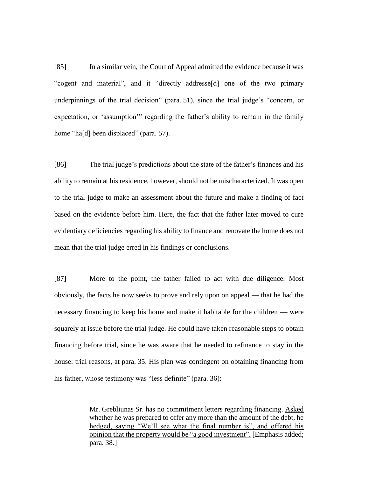[85] In a similar vein, the Court of Appeal admitted the evidence because it was "cogent and material", and it "directly addresse[d] one of the two primary underpinnings of the trial decision" (para. 51), since the trial judge's "concern, or expectation, or 'assumption'" regarding the father's ability to remain in the family home "ha<sup>[d]</sup> been displaced" (para. 57).

[86] The trial judge's predictions about the state of the father's finances and his ability to remain at his residence, however, should not be mischaracterized. It was open to the trial judge to make an assessment about the future and make a finding of fact based on the evidence before him. Here, the fact that the father later moved to cure evidentiary deficiencies regarding his ability to finance and renovate the home does not mean that the trial judge erred in his findings or conclusions.

[87] More to the point, the father failed to act with due diligence. Most obviously, the facts he now seeks to prove and rely upon on appeal — that he had the necessary financing to keep his home and make it habitable for the children — were squarely at issue before the trial judge. He could have taken reasonable steps to obtain financing before trial, since he was aware that he needed to refinance to stay in the house: trial reasons, at para. 35. His plan was contingent on obtaining financing from his father, whose testimony was "less definite" (para. 36):

> Mr. Grebliunas Sr. has no commitment letters regarding financing. Asked whether he was prepared to offer any more than the amount of the debt, he hedged, saying "We'll see what the final number is", and offered his opinion that the property would be "a good investment". [Emphasis added; para. 38.]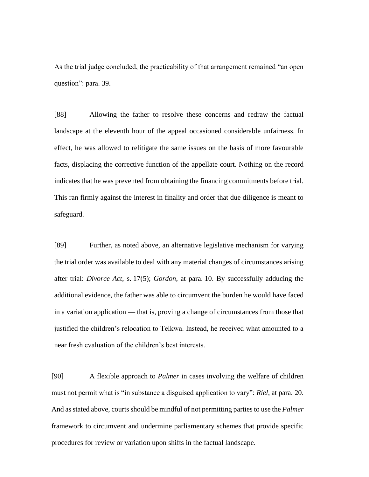As the trial judge concluded, the practicability of that arrangement remained "an open question": para. 39.

[88] Allowing the father to resolve these concerns and redraw the factual landscape at the eleventh hour of the appeal occasioned considerable unfairness. In effect, he was allowed to relitigate the same issues on the basis of more favourable facts, displacing the corrective function of the appellate court. Nothing on the record indicates that he was prevented from obtaining the financing commitments before trial. This ran firmly against the interest in finality and order that due diligence is meant to safeguard.

[89] Further, as noted above, an alternative legislative mechanism for varying the trial order was available to deal with any material changes of circumstances arising after trial: *Divorce Act*, s. 17(5); *Gordon*, at para. 10. By successfully adducing the additional evidence, the father was able to circumvent the burden he would have faced in a variation application — that is, proving a change of circumstances from those that justified the children's relocation to Telkwa. Instead, he received what amounted to a near fresh evaluation of the children's best interests.

[90] A flexible approach to *Palmer* in cases involving the welfare of children must not permit what is "in substance a disguised application to vary": *Riel*, at para. 20. And as stated above, courts should be mindful of not permitting parties to use the *Palmer*  framework to circumvent and undermine parliamentary schemes that provide specific procedures for review or variation upon shifts in the factual landscape.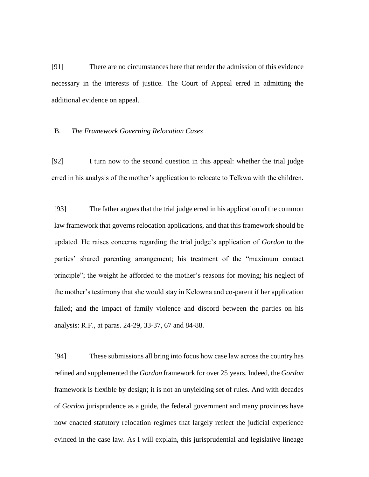[91] There are no circumstances here that render the admission of this evidence necessary in the interests of justice. The Court of Appeal erred in admitting the additional evidence on appeal.

#### B. *The Framework Governing Relocation Cases*

[92] I turn now to the second question in this appeal: whether the trial judge erred in his analysis of the mother's application to relocate to Telkwa with the children.

[93] The father argues that the trial judge erred in his application of the common law framework that governs relocation applications, and that this framework should be updated. He raises concerns regarding the trial judge's application of *Gordon* to the parties' shared parenting arrangement; his treatment of the "maximum contact principle"; the weight he afforded to the mother's reasons for moving; his neglect of the mother's testimony that she would stay in Kelowna and co-parent if her application failed; and the impact of family violence and discord between the parties on his analysis: R.F., at paras. 24-29, 33-37, 67 and 84-88.

[94] These submissions all bring into focus how case law across the country has refined and supplemented the *Gordon* framework for over 25 years. Indeed, the *Gordon* framework is flexible by design; it is not an unyielding set of rules. And with decades of *Gordon* jurisprudence as a guide, the federal government and many provinces have now enacted statutory relocation regimes that largely reflect the judicial experience evinced in the case law. As I will explain, this jurisprudential and legislative lineage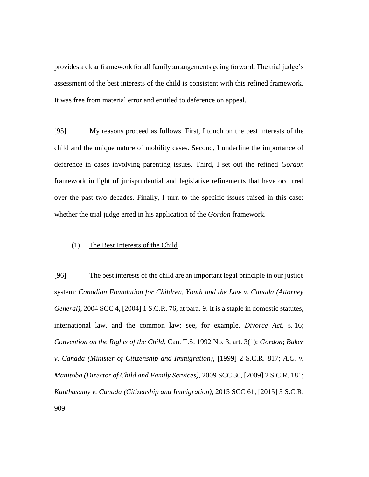provides a clear framework for all family arrangements going forward. The trial judge's assessment of the best interests of the child is consistent with this refined framework. It was free from material error and entitled to deference on appeal.

[95] My reasons proceed as follows. First, I touch on the best interests of the child and the unique nature of mobility cases. Second, I underline the importance of deference in cases involving parenting issues. Third, I set out the refined *Gordon* framework in light of jurisprudential and legislative refinements that have occurred over the past two decades. Finally, I turn to the specific issues raised in this case: whether the trial judge erred in his application of the *Gordon* framework.

### (1) The Best Interests of the Child

[96] The best interests of the child are an important legal principle in our justice system: *Canadian Foundation for Children, Youth and the Law v. Canada (Attorney General)*, 2004 SCC 4, [2004] 1 S.C.R. 76, at para. 9. It is a staple in domestic statutes, international law, and the common law: see, for example, *Divorce Act*, s. 16; *Convention on the Rights of the Child*, Can. T.S. 1992 No. 3, art. 3(1); *Gordon*; *Baker v. Canada (Minister of Citizenship and Immigration)*, [1999] 2 S.C.R. 817; *A.C. v. Manitoba (Director of Child and Family Services)*, 2009 SCC 30, [2009] 2 S.C.R. 181; *Kanthasamy v. Canada (Citizenship and Immigration)*, 2015 SCC 61, [2015] 3 S.C.R. 909.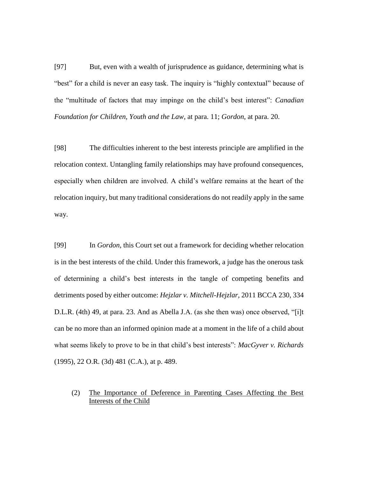[97] But, even with a wealth of jurisprudence as guidance, determining what is "best" for a child is never an easy task. The inquiry is "highly contextual" because of the "multitude of factors that may impinge on the child's best interest": *Canadian Foundation for Children, Youth and the Law*, at para. 11; *Gordon*, at para. 20.

[98] The difficulties inherent to the best interests principle are amplified in the relocation context. Untangling family relationships may have profound consequences, especially when children are involved. A child's welfare remains at the heart of the relocation inquiry, but many traditional considerations do not readily apply in the same way.

[99] In *Gordon*, this Court set out a framework for deciding whether relocation is in the best interests of the child. Under this framework, a judge has the onerous task of determining a child's best interests in the tangle of competing benefits and detriments posed by either outcome: *Hejzlar v. Mitchell-Hejzlar*, 2011 BCCA 230, 334 D.L.R. (4th) 49, at para. 23. And as Abella J.A. (as she then was) once observed, "[i]t can be no more than an informed opinion made at a moment in the life of a child about what seems likely to prove to be in that child's best interests": *MacGyver v. Richards* (1995), 22 O.R. (3d) 481 (C.A.), at p. 489.

# (2) The Importance of Deference in Parenting Cases Affecting the Best Interests of the Child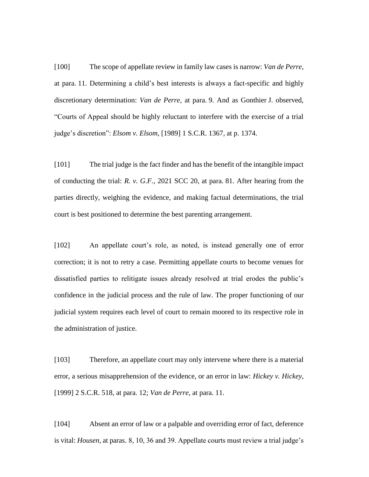[100] The scope of appellate review in family law cases is narrow: *Van de Perre*, at para. 11. Determining a child's best interests is always a fact-specific and highly discretionary determination: *Van de Perre*, at para. 9. And as Gonthier J. observed, "Courts of Appeal should be highly reluctant to interfere with the exercise of a trial judge's discretion": *Elsom v. Elsom*, [1989] 1 S.C.R. 1367, at p. 1374.

[101] The trial judge is the fact finder and has the benefit of the intangible impact of conducting the trial: *R. v. G.F.*, 2021 SCC 20, at para. 81. After hearing from the parties directly, weighing the evidence, and making factual determinations, the trial court is best positioned to determine the best parenting arrangement.

[102] An appellate court's role, as noted, is instead generally one of error correction; it is not to retry a case. Permitting appellate courts to become venues for dissatisfied parties to relitigate issues already resolved at trial erodes the public's confidence in the judicial process and the rule of law. The proper functioning of our judicial system requires each level of court to remain moored to its respective role in the administration of justice.

[103] Therefore, an appellate court may only intervene where there is a material error, a serious misapprehension of the evidence, or an error in law: *Hickey v. Hickey*, [1999] 2 S.C.R. 518, at para. 12; *Van de Perre*, at para. 11.

[104] Absent an error of law or a palpable and overriding error of fact, deference is vital: *Housen*, at paras. 8, 10, 36 and 39. Appellate courts must review a trial judge's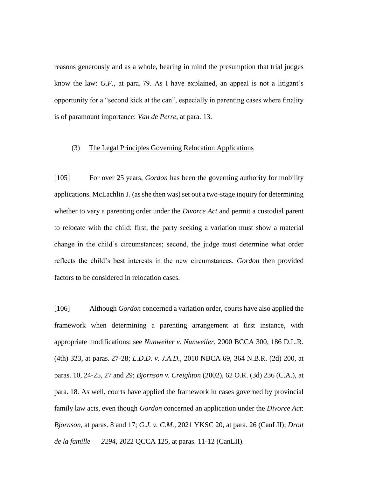reasons generously and as a whole, bearing in mind the presumption that trial judges know the law: *G.F.*, at para. 79. As I have explained, an appeal is not a litigant's opportunity for a "second kick at the can", especially in parenting cases where finality is of paramount importance: *Van de Perre*, at para. 13.

#### (3) The Legal Principles Governing Relocation Applications

[105] For over 25 years, *Gordon* has been the governing authority for mobility applications. McLachlin J. (as she then was) set out a two-stage inquiry for determining whether to vary a parenting order under the *Divorce Act* and permit a custodial parent to relocate with the child: first, the party seeking a variation must show a material change in the child's circumstances; second, the judge must determine what order reflects the child's best interests in the new circumstances. *Gordon* then provided factors to be considered in relocation cases.

[106] Although *Gordon* concerned a variation order, courts have also applied the framework when determining a parenting arrangement at first instance, with appropriate modifications: see *Nunweiler v. Nunweiler*, 2000 BCCA 300, 186 D.L.R. (4th) 323, at paras. 27-28; *L.D.D. v. J.A.D.*, 2010 NBCA 69, 364 N.B.R. (2d) 200, at paras. 10, 24-25, 27 and 29; *Bjornson v. Creighton* (2002), 62 O.R. (3d) 236 (C.A.), at para. 18. As well, courts have applied the framework in cases governed by provincial family law acts, even though *Gordon* concerned an application under the *Divorce Act*: *Bjornson*, at paras. 8 and 17; *G.J. v. C.M.*, 2021 YKSC 20, at para. 26 (CanLII); *Droit de la famille* — *2294*, 2022 QCCA 125, at paras. 11-12 (CanLII).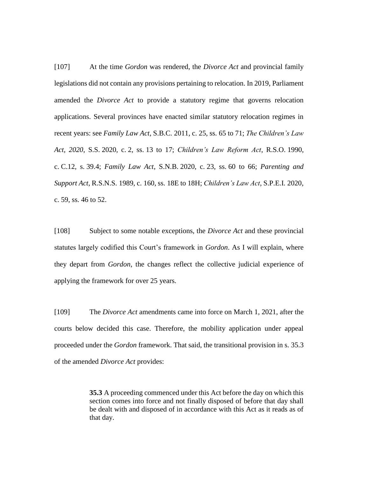[107] At the time *Gordon* was rendered, the *Divorce Act* and provincial family legislations did not contain any provisions pertaining to relocation. In 2019, Parliament amended the *Divorce Act* to provide a statutory regime that governs relocation applications. Several provinces have enacted similar statutory relocation regimes in recent years: see *Family Law Act*, S.B.C. 2011, c. 25, ss. 65 to 71; *The Children's Law Act, 2020*, S.S. 2020, c. 2, ss. 13 to 17; *Children's Law Reform Act*, R.S.O. 1990, c. C.12, s. 39.4; *Family Law Act*, S.N.B. 2020, c. 23, ss. 60 to 66; *Parenting and Support Act*, R.S.N.S. 1989, c. 160, ss. 18E to 18H; *Children's Law Act*, S.P.E.I. 2020, c. 59, ss. 46 to 52.

[108] Subject to some notable exceptions, the *Divorce Act* and these provincial statutes largely codified this Court's framework in *Gordon*. As I will explain, where they depart from *Gordon*, the changes reflect the collective judicial experience of applying the framework for over 25 years.

[109] The *Divorce Act* amendments came into force on March 1, 2021, after the courts below decided this case. Therefore, the mobility application under appeal proceeded under the *Gordon* framework. That said, the transitional provision in s. 35.3 of the amended *Divorce Act* provides:

> **35.3** A proceeding commenced under this Act before the day on which this section comes into force and not finally disposed of before that day shall be dealt with and disposed of in accordance with this Act as it reads as of that day.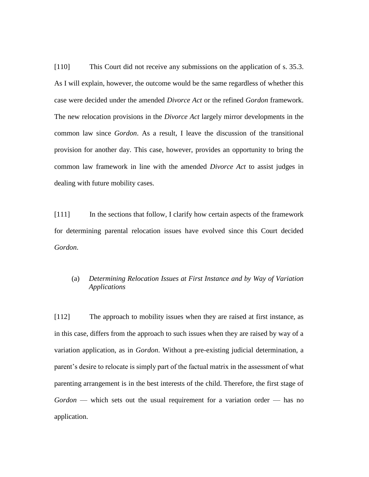[110] This Court did not receive any submissions on the application of s. 35.3. As I will explain, however, the outcome would be the same regardless of whether this case were decided under the amended *Divorce Act* or the refined *Gordon* framework. The new relocation provisions in the *Divorce Act* largely mirror developments in the common law since *Gordon*. As a result, I leave the discussion of the transitional provision for another day. This case, however, provides an opportunity to bring the common law framework in line with the amended *Divorce Act* to assist judges in dealing with future mobility cases.

[111] In the sections that follow, I clarify how certain aspects of the framework for determining parental relocation issues have evolved since this Court decided *Gordon*.

## (a) *Determining Relocation Issues at First Instance and by Way of Variation Applications*

[112] The approach to mobility issues when they are raised at first instance, as in this case, differs from the approach to such issues when they are raised by way of a variation application, as in *Gordon*. Without a pre-existing judicial determination, a parent's desire to relocate is simply part of the factual matrix in the assessment of what parenting arrangement is in the best interests of the child. Therefore, the first stage of *Gordon* — which sets out the usual requirement for a variation order — has no application.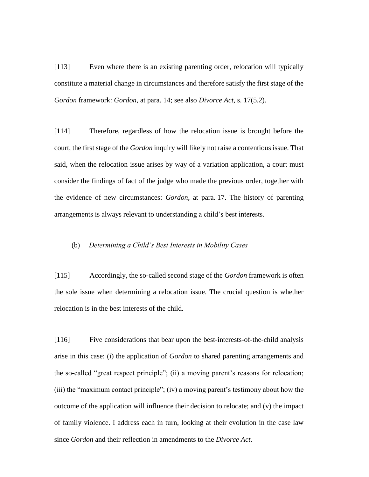[113] Even where there is an existing parenting order, relocation will typically constitute a material change in circumstances and therefore satisfy the first stage of the *Gordon* framework: *Gordon*, at para. 14; see also *Divorce Act*, s. 17(5.2).

[114] Therefore, regardless of how the relocation issue is brought before the court, the first stage of the *Gordon* inquiry will likely not raise a contentious issue. That said, when the relocation issue arises by way of a variation application, a court must consider the findings of fact of the judge who made the previous order, together with the evidence of new circumstances: *Gordon*, at para. 17. The history of parenting arrangements is always relevant to understanding a child's best interests.

### (b) *Determining a Child's Best Interests in Mobility Cases*

[115] Accordingly, the so-called second stage of the *Gordon* framework is often the sole issue when determining a relocation issue. The crucial question is whether relocation is in the best interests of the child.

[116] Five considerations that bear upon the best-interests-of-the-child analysis arise in this case: (i) the application of *Gordon* to shared parenting arrangements and the so-called "great respect principle"; (ii) a moving parent's reasons for relocation; (iii) the "maximum contact principle"; (iv) a moving parent's testimony about how the outcome of the application will influence their decision to relocate; and (v) the impact of family violence. I address each in turn, looking at their evolution in the case law since *Gordon* and their reflection in amendments to the *Divorce Act*.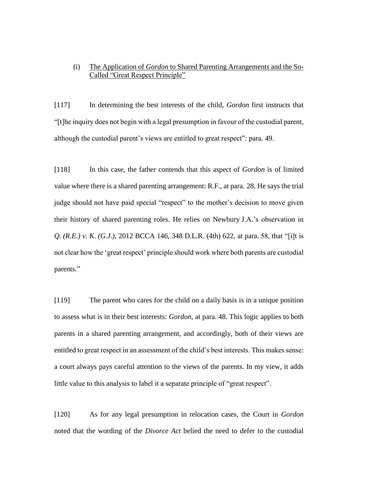# (i) The Application of *Gordon* to Shared Parenting Arrangements and the So-Called "Great Respect Principle"

[117] In determining the best interests of the child, *Gordon* first instructs that "[t]he inquiry does not begin with a legal presumption in favour of the custodial parent, although the custodial parent's views are entitled to great respect": para. 49.

[118] In this case, the father contends that this aspect of *Gordon* is of limited value where there is a shared parenting arrangement: R.F., at para. 28. He says the trial judge should not have paid special "respect" to the mother's decision to move given their history of shared parenting roles. He relies on Newbury J.A.'s observation in *Q. (R.E.) v. K. (G.J.)*, 2012 BCCA 146, 348 D.L.R. (4th) 622, at para. 58, that "[i]t is not clear how the 'great respect' principle should work where both parents are custodial parents."

[119] The parent who cares for the child on a daily basis is in a unique position to assess what is in their best interests: *Gordon*, at para. 48. This logic applies to both parents in a shared parenting arrangement, and accordingly, both of their views are entitled to great respect in an assessment of the child's best interests. This makes sense: a court always pays careful attention to the views of the parents. In my view, it adds little value to this analysis to label it a separate principle of "great respect".

[120] As for any legal presumption in relocation cases, the Court in *Gordon* noted that the wording of the *Divorce Act* belied the need to defer to the custodial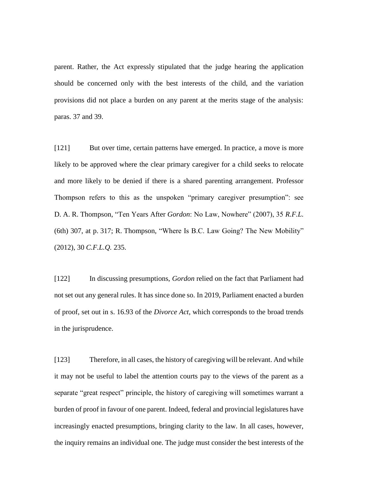parent. Rather, the Act expressly stipulated that the judge hearing the application should be concerned only with the best interests of the child, and the variation provisions did not place a burden on any parent at the merits stage of the analysis: paras. 37 and 39.

[121] But over time, certain patterns have emerged. In practice, a move is more likely to be approved where the clear primary caregiver for a child seeks to relocate and more likely to be denied if there is a shared parenting arrangement. Professor Thompson refers to this as the unspoken "primary caregiver presumption": see D. A. R. Thompson, "Ten Years After *Gordon*: No Law, Nowhere" (2007), 35 *R.F.L.*  (6th) 307, at p. 317; R. Thompson, "Where Is B.C. Law Going? The New Mobility" (2012), 30 *C.F.L.Q.* 235.

[122] In discussing presumptions, *Gordon* relied on the fact that Parliament had not set out any general rules. It has since done so. In 2019, Parliament enacted a burden of proof, set out in s. 16.93 of the *Divorce Act*, which corresponds to the broad trends in the jurisprudence.

[123] Therefore, in all cases, the history of caregiving will be relevant. And while it may not be useful to label the attention courts pay to the views of the parent as a separate "great respect" principle, the history of caregiving will sometimes warrant a burden of proof in favour of one parent. Indeed, federal and provincial legislatures have increasingly enacted presumptions, bringing clarity to the law. In all cases, however, the inquiry remains an individual one. The judge must consider the best interests of the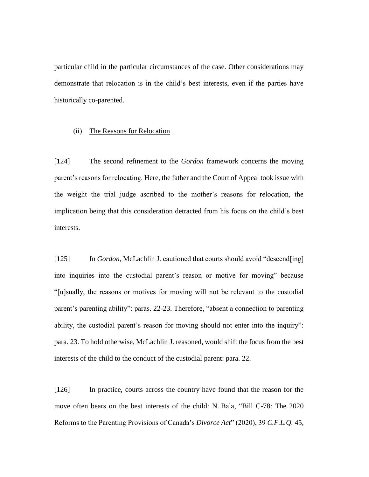particular child in the particular circumstances of the case. Other considerations may demonstrate that relocation is in the child's best interests, even if the parties have historically co-parented.

#### (ii) The Reasons for Relocation

[124] The second refinement to the *Gordon* framework concerns the moving parent's reasons for relocating. Here, the father and the Court of Appeal took issue with the weight the trial judge ascribed to the mother's reasons for relocation, the implication being that this consideration detracted from his focus on the child's best interests.

[125] In *Gordon*, McLachlin J. cautioned that courts should avoid "descend[ing] into inquiries into the custodial parent's reason or motive for moving" because "[u]sually, the reasons or motives for moving will not be relevant to the custodial parent's parenting ability": paras. 22-23. Therefore, "absent a connection to parenting ability, the custodial parent's reason for moving should not enter into the inquiry": para. 23. To hold otherwise, McLachlin J. reasoned, would shift the focus from the best interests of the child to the conduct of the custodial parent: para. 22.

[126] In practice, courts across the country have found that the reason for the move often bears on the best interests of the child: N. Bala, "Bill C-78: The 2020 Reforms to the Parenting Provisions of Canada's *Divorce Act*" (2020), 39 *C.F.L.Q.* 45,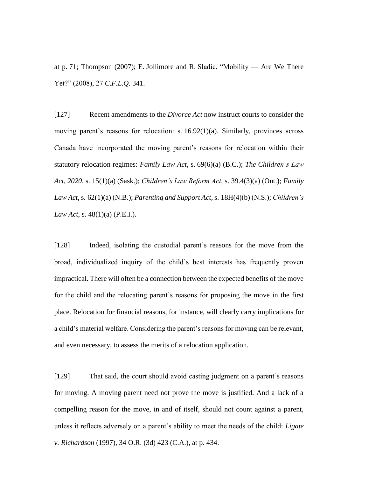at p. 71; Thompson (2007); E. Jollimore and R. Sladic, "Mobility — Are We There Yet?" (2008), 27 *C.F.L.Q.* 341.

[127] Recent amendments to the *Divorce Act* now instruct courts to consider the moving parent's reasons for relocation: s. 16.92(1)(a). Similarly, provinces across Canada have incorporated the moving parent's reasons for relocation within their statutory relocation regimes: *Family Law Act*, s. 69(6)(a) (B.C.); *The Children's Law Act, 2020*, s. 15(1)(a) (Sask.); *Children's Law Reform Act*, s. 39.4(3)(a) (Ont.); *Family Law Act*, s. 62(1)(a) (N.B.); *Parenting and Support Act*, s. 18H(4)(b) (N.S.); *Children's Law Act*, s. 48(1)(a) (P.E.I.).

[128] Indeed, isolating the custodial parent's reasons for the move from the broad, individualized inquiry of the child's best interests has frequently proven impractical. There will often be a connection between the expected benefits of the move for the child and the relocating parent's reasons for proposing the move in the first place. Relocation for financial reasons, for instance, will clearly carry implications for a child's material welfare. Considering the parent's reasons for moving can be relevant, and even necessary, to assess the merits of a relocation application.

[129] That said, the court should avoid casting judgment on a parent's reasons for moving. A moving parent need not prove the move is justified. And a lack of a compelling reason for the move, in and of itself, should not count against a parent, unless it reflects adversely on a parent's ability to meet the needs of the child: *Ligate v. Richardson* (1997), 34 O.R. (3d) 423 (C.A.), at p. 434.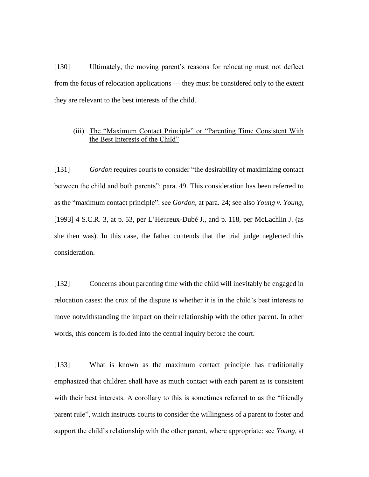[130] Ultimately, the moving parent's reasons for relocating must not deflect from the focus of relocation applications — they must be considered only to the extent they are relevant to the best interests of the child.

### (iii) The "Maximum Contact Principle" or "Parenting Time Consistent With the Best Interests of the Child"

[131] *Gordon* requires courts to consider "the desirability of maximizing contact between the child and both parents": para. 49. This consideration has been referred to as the "maximum contact principle": see *Gordon*, at para. 24; see also *Young v. Young*, [1993] 4 S.C.R. 3, at p. 53, per L'Heureux-Dubé J., and p. 118, per McLachlin J. (as she then was). In this case, the father contends that the trial judge neglected this consideration.

[132] Concerns about parenting time with the child will inevitably be engaged in relocation cases: the crux of the dispute is whether it is in the child's best interests to move notwithstanding the impact on their relationship with the other parent. In other words, this concern is folded into the central inquiry before the court.

[133] What is known as the maximum contact principle has traditionally emphasized that children shall have as much contact with each parent as is consistent with their best interests. A corollary to this is sometimes referred to as the "friendly parent rule", which instructs courts to consider the willingness of a parent to foster and support the child's relationship with the other parent, where appropriate: see *Young*, at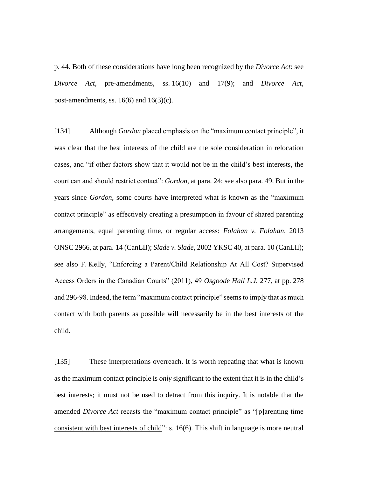p. 44. Both of these considerations have long been recognized by the *Divorce Act*: see *Divorce Act*, pre-amendments, ss. 16(10) and 17(9); and *Divorce Act*, post-amendments, ss.  $16(6)$  and  $16(3)(c)$ .

[134] Although *Gordon* placed emphasis on the "maximum contact principle", it was clear that the best interests of the child are the sole consideration in relocation cases, and "if other factors show that it would not be in the child's best interests, the court can and should restrict contact": *Gordon*, at para. 24; see also para. 49. But in the years since *Gordon*, some courts have interpreted what is known as the "maximum contact principle" as effectively creating a presumption in favour of shared parenting arrangements, equal parenting time, or regular access: *Folahan v. Folahan*, 2013 ONSC 2966, at para. 14 (CanLII); *Slade v. Slade*, 2002 YKSC 40, at para. 10 (CanLII); see also F. Kelly, "Enforcing a Parent/Child Relationship At All Cost? Supervised Access Orders in the Canadian Courts" (2011), 49 *Osgoode Hall L.J.* 277, at pp. 278 and 296-98. Indeed, the term "maximum contact principle" seems to imply that as much contact with both parents as possible will necessarily be in the best interests of the child.

[135] These interpretations overreach. It is worth repeating that what is known as the maximum contact principle is *only* significant to the extent that it is in the child's best interests; it must not be used to detract from this inquiry. It is notable that the amended *Divorce Act* recasts the "maximum contact principle" as "[p]arenting time consistent with best interests of child": s. 16(6). This shift in language is more neutral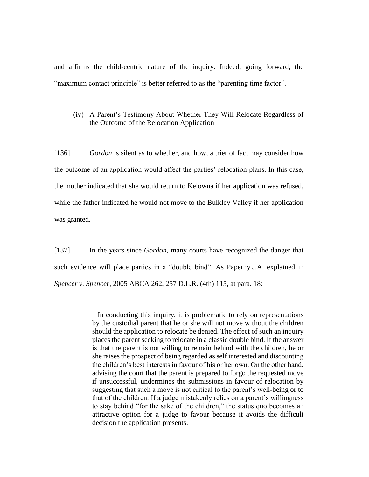and affirms the child-centric nature of the inquiry. Indeed, going forward, the "maximum contact principle" is better referred to as the "parenting time factor".

### (iv) A Parent's Testimony About Whether They Will Relocate Regardless of the Outcome of the Relocation Application

[136] *Gordon* is silent as to whether, and how, a trier of fact may consider how the outcome of an application would affect the parties' relocation plans. In this case, the mother indicated that she would return to Kelowna if her application was refused, while the father indicated he would not move to the Bulkley Valley if her application was granted.

[137] In the years since *Gordon*, many courts have recognized the danger that such evidence will place parties in a "double bind". As Paperny J.A. explained in *Spencer v. Spencer*, 2005 ABCA 262, 257 D.L.R. (4th) 115, at para. 18:

> In conducting this inquiry, it is problematic to rely on representations by the custodial parent that he or she will not move without the children should the application to relocate be denied. The effect of such an inquiry places the parent seeking to relocate in a classic double bind. If the answer is that the parent is not willing to remain behind with the children, he or she raises the prospect of being regarded as self interested and discounting the children's best interests in favour of his or her own. On the other hand, advising the court that the parent is prepared to forgo the requested move if unsuccessful, undermines the submissions in favour of relocation by suggesting that such a move is not critical to the parent's well-being or to that of the children. If a judge mistakenly relies on a parent's willingness to stay behind "for the sake of the children," the status quo becomes an attractive option for a judge to favour because it avoids the difficult decision the application presents.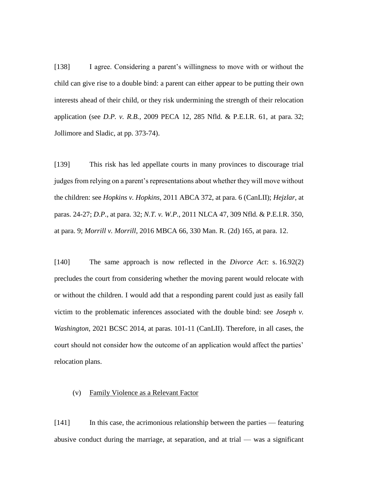[138] I agree. Considering a parent's willingness to move with or without the child can give rise to a double bind: a parent can either appear to be putting their own interests ahead of their child, or they risk undermining the strength of their relocation application (see *D.P. v. R.B.*, 2009 PECA 12, 285 Nfld. & P.E.I.R. 61, at para. 32; Jollimore and Sladic, at pp. 373-74).

[139] This risk has led appellate courts in many provinces to discourage trial judges from relying on a parent's representations about whether they will move without the children: see *Hopkins v. Hopkins*, 2011 ABCA 372, at para. 6 (CanLII); *Hejzlar*, at paras. 24-27; *D.P.*, at para. 32; *N.T. v. W.P.*, 2011 NLCA 47, 309 Nfld. & P.E.I.R. 350, at para. 9; *Morrill v. Morrill*, 2016 MBCA 66, 330 Man. R. (2d) 165, at para. 12.

[140] The same approach is now reflected in the *Divorce Act*: s. 16.92(2) precludes the court from considering whether the moving parent would relocate with or without the children. I would add that a responding parent could just as easily fall victim to the problematic inferences associated with the double bind: see *Joseph v. Washington*, 2021 BCSC 2014, at paras. 101-11 (CanLII). Therefore, in all cases, the court should not consider how the outcome of an application would affect the parties' relocation plans.

### (v) Family Violence as a Relevant Factor

[141] In this case, the acrimonious relationship between the parties — featuring abusive conduct during the marriage, at separation, and at trial — was a significant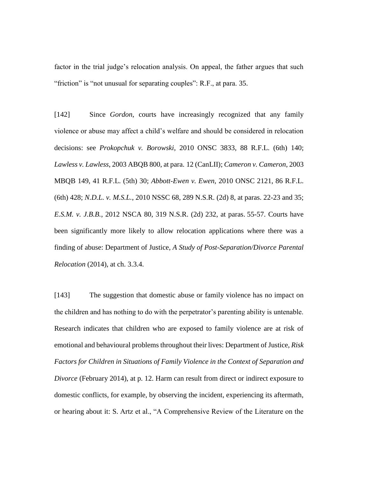factor in the trial judge's relocation analysis. On appeal, the father argues that such "friction" is "not unusual for separating couples": R.F., at para. 35.

[142] Since *Gordon*, courts have increasingly recognized that any family violence or abuse may affect a child's welfare and should be considered in relocation decisions: see *Prokopchuk v. Borowski*, 2010 ONSC 3833, 88 R.F.L. (6th) 140; *Lawless v. Lawless*, 2003 ABQB 800, at para. 12 (CanLII); *Cameron v. Cameron*, 2003 MBQB 149, 41 R.F.L. (5th) 30; *Abbott-Ewen v. Ewen*, 2010 ONSC 2121, 86 R.F.L. (6th) 428; *N.D.L. v. M.S.L.*, 2010 NSSC 68, 289 N.S.R. (2d) 8, at paras. 22-23 and 35; *E.S.M. v. J.B.B.*, 2012 NSCA 80, 319 N.S.R. (2d) 232, at paras. 55-57. Courts have been significantly more likely to allow relocation applications where there was a finding of abuse: Department of Justice, *A Study of Post-Separation/Divorce Parental Relocation* (2014), at ch. 3.3.4.

[143] The suggestion that domestic abuse or family violence has no impact on the children and has nothing to do with the perpetrator's parenting ability is untenable. Research indicates that children who are exposed to family violence are at risk of emotional and behavioural problems throughout their lives: Department of Justice, *Risk Factors for Children in Situations of Family Violence in the Context of Separation and Divorce* (February 2014), at p. 12. Harm can result from direct or indirect exposure to domestic conflicts, for example, by observing the incident, experiencing its aftermath, or hearing about it: S. Artz et al., "A Comprehensive Review of the Literature on the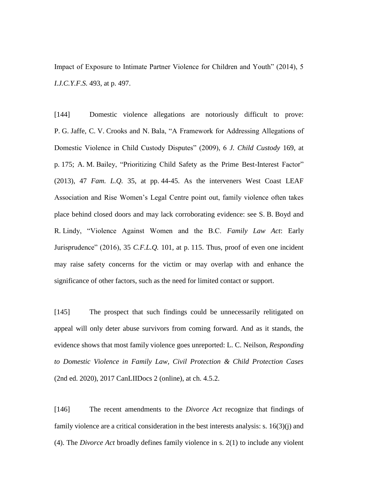Impact of Exposure to Intimate Partner Violence for Children and Youth" (2014), 5 *I.J.C.Y.F.S.* 493, at p. 497.

[144] Domestic violence allegations are notoriously difficult to prove: P. G. Jaffe, C. V. Crooks and N. Bala, "A Framework for Addressing Allegations of Domestic Violence in Child Custody Disputes" (2009), 6 *J. Child Custody* 169, at p. 175; A. M. Bailey, "Prioritizing Child Safety as the Prime Best-Interest Factor" (2013), 47 *Fam. L.Q.* 35, at pp. 44-45. As the interveners West Coast LEAF Association and Rise Women's Legal Centre point out, family violence often takes place behind closed doors and may lack corroborating evidence: see S. B. Boyd and R. Lindy, "Violence Against Women and the B.C. *Family Law Act*: Early Jurisprudence" (2016), 35 *C.F.L.Q.* 101, at p. 115. Thus, proof of even one incident may raise safety concerns for the victim or may overlap with and enhance the significance of other factors, such as the need for limited contact or support.

[145] The prospect that such findings could be unnecessarily relitigated on appeal will only deter abuse survivors from coming forward. And as it stands, the evidence shows that most family violence goes unreported: L. C. Neilson, *Responding to Domestic Violence in Family Law, Civil Protection & Child Protection Cases* (2nd ed. 2020), 2017 CanLIIDocs 2 (online), at ch. 4.5.2.

[146] The recent amendments to the *Divorce Act* recognize that findings of family violence are a critical consideration in the best interests analysis: s.  $16(3)(i)$  and (4). The *Divorce Act* broadly defines family violence in s. 2(1) to include any violent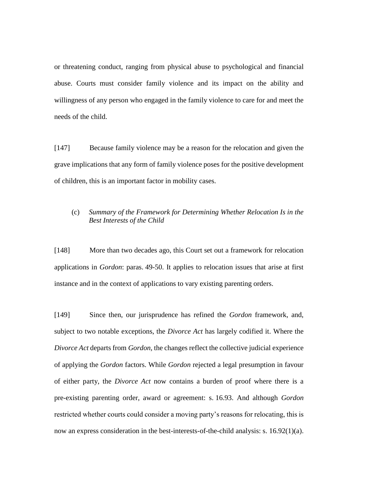or threatening conduct, ranging from physical abuse to psychological and financial abuse. Courts must consider family violence and its impact on the ability and willingness of any person who engaged in the family violence to care for and meet the needs of the child.

[147] Because family violence may be a reason for the relocation and given the grave implications that any form of family violence poses for the positive development of children, this is an important factor in mobility cases.

# (c) *Summary of the Framework for Determining Whether Relocation Is in the Best Interests of the Child*

[148] More than two decades ago, this Court set out a framework for relocation applications in *Gordon*: paras. 49-50. It applies to relocation issues that arise at first instance and in the context of applications to vary existing parenting orders.

[149] Since then, our jurisprudence has refined the *Gordon* framework, and, subject to two notable exceptions, the *Divorce Act* has largely codified it. Where the *Divorce Act* departs from *Gordon*, the changes reflect the collective judicial experience of applying the *Gordon* factors. While *Gordon* rejected a legal presumption in favour of either party, the *Divorce Act* now contains a burden of proof where there is a pre-existing parenting order, award or agreement: s. 16.93. And although *Gordon*  restricted whether courts could consider a moving party's reasons for relocating, this is now an express consideration in the best-interests-of-the-child analysis: s. 16.92(1)(a).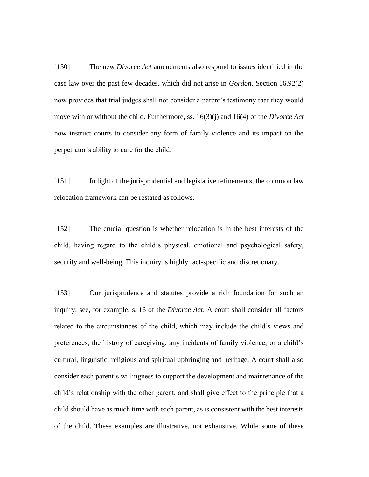[150] The new *Divorce Act* amendments also respond to issues identified in the case law over the past few decades, which did not arise in *Gordon*. Section 16.92(2) now provides that trial judges shall not consider a parent's testimony that they would move with or without the child. Furthermore, ss. 16(3)(j) and 16(4) of the *Divorce Act* now instruct courts to consider any form of family violence and its impact on the perpetrator's ability to care for the child.

[151] In light of the jurisprudential and legislative refinements, the common law relocation framework can be restated as follows.

[152] The crucial question is whether relocation is in the best interests of the child, having regard to the child's physical, emotional and psychological safety, security and well-being. This inquiry is highly fact-specific and discretionary.

[153] Our jurisprudence and statutes provide a rich foundation for such an inquiry: see, for example, s. 16 of the *Divorce Act*. A court shall consider all factors related to the circumstances of the child, which may include the child's views and preferences, the history of caregiving, any incidents of family violence, or a child's cultural, linguistic, religious and spiritual upbringing and heritage. A court shall also consider each parent's willingness to support the development and maintenance of the child's relationship with the other parent, and shall give effect to the principle that a child should have as much time with each parent, as is consistent with the best interests of the child. These examples are illustrative, not exhaustive. While some of these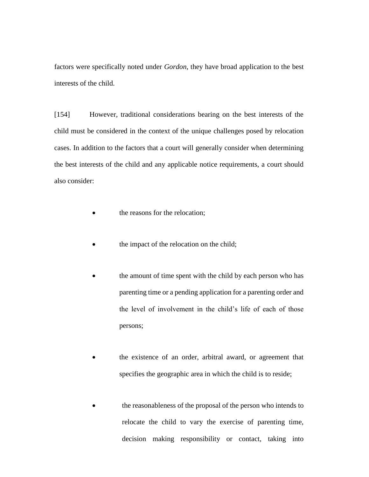factors were specifically noted under *Gordon*, they have broad application to the best interests of the child.

[154] However, traditional considerations bearing on the best interests of the child must be considered in the context of the unique challenges posed by relocation cases. In addition to the factors that a court will generally consider when determining the best interests of the child and any applicable notice requirements, a court should also consider:

- the reasons for the relocation;
- the impact of the relocation on the child;
- the amount of time spent with the child by each person who has parenting time or a pending application for a parenting order and the level of involvement in the child's life of each of those persons;
- the existence of an order, arbitral award, or agreement that specifies the geographic area in which the child is to reside;
- the reasonableness of the proposal of the person who intends to relocate the child to vary the exercise of parenting time, decision making responsibility or contact, taking into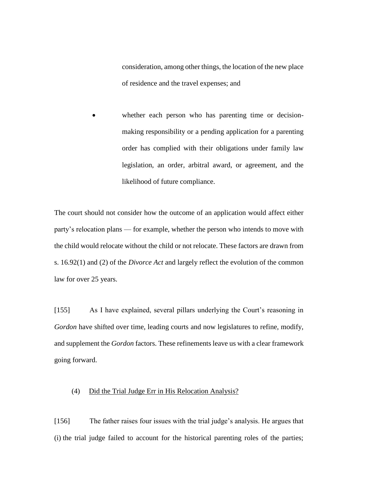consideration, among other things, the location of the new place of residence and the travel expenses; and

whether each person who has parenting time or decisionmaking responsibility or a pending application for a parenting order has complied with their obligations under family law legislation, an order, arbitral award, or agreement, and the likelihood of future compliance.

The court should not consider how the outcome of an application would affect either party's relocation plans — for example, whether the person who intends to move with the child would relocate without the child or not relocate. These factors are drawn from s. 16.92(1) and (2) of the *Divorce Act* and largely reflect the evolution of the common law for over 25 years.

[155] As I have explained, several pillars underlying the Court's reasoning in *Gordon* have shifted over time, leading courts and now legislatures to refine, modify, and supplement the *Gordon* factors. These refinements leave us with a clear framework going forward.

### (4) Did the Trial Judge Err in His Relocation Analysis?

[156] The father raises four issues with the trial judge's analysis. He argues that (i) the trial judge failed to account for the historical parenting roles of the parties;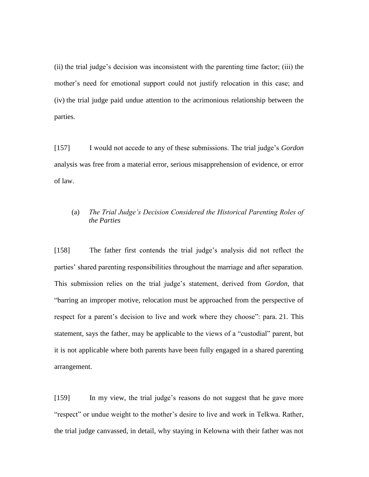(ii) the trial judge's decision was inconsistent with the parenting time factor; (iii) the mother's need for emotional support could not justify relocation in this case; and (iv) the trial judge paid undue attention to the acrimonious relationship between the parties.

[157] I would not accede to any of these submissions. The trial judge's *Gordon* analysis was free from a material error, serious misapprehension of evidence, or error of law.

# (a) *The Trial Judge's Decision Considered the Historical Parenting Roles of the Parties*

[158] The father first contends the trial judge's analysis did not reflect the parties' shared parenting responsibilities throughout the marriage and after separation. This submission relies on the trial judge's statement, derived from *Gordon*, that "barring an improper motive, relocation must be approached from the perspective of respect for a parent's decision to live and work where they choose": para. 21. This statement, says the father, may be applicable to the views of a "custodial" parent, but it is not applicable where both parents have been fully engaged in a shared parenting arrangement.

[159] In my view, the trial judge's reasons do not suggest that he gave more "respect" or undue weight to the mother's desire to live and work in Telkwa. Rather, the trial judge canvassed, in detail, why staying in Kelowna with their father was not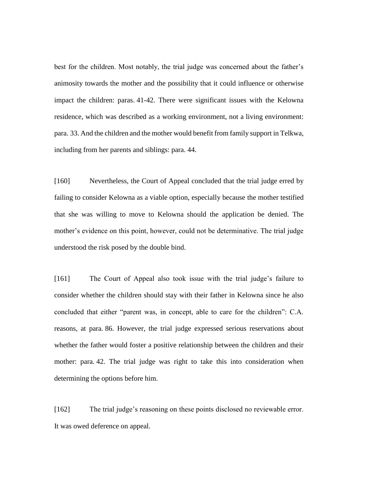best for the children. Most notably, the trial judge was concerned about the father's animosity towards the mother and the possibility that it could influence or otherwise impact the children: paras. 41-42. There were significant issues with the Kelowna residence, which was described as a working environment, not a living environment: para. 33. And the children and the mother would benefit from family support in Telkwa, including from her parents and siblings: para. 44.

[160] Nevertheless, the Court of Appeal concluded that the trial judge erred by failing to consider Kelowna as a viable option, especially because the mother testified that she was willing to move to Kelowna should the application be denied. The mother's evidence on this point, however, could not be determinative. The trial judge understood the risk posed by the double bind.

[161] The Court of Appeal also took issue with the trial judge's failure to consider whether the children should stay with their father in Kelowna since he also concluded that either "parent was, in concept, able to care for the children": C.A. reasons, at para. 86. However, the trial judge expressed serious reservations about whether the father would foster a positive relationship between the children and their mother: para. 42. The trial judge was right to take this into consideration when determining the options before him.

[162] The trial judge's reasoning on these points disclosed no reviewable error. It was owed deference on appeal.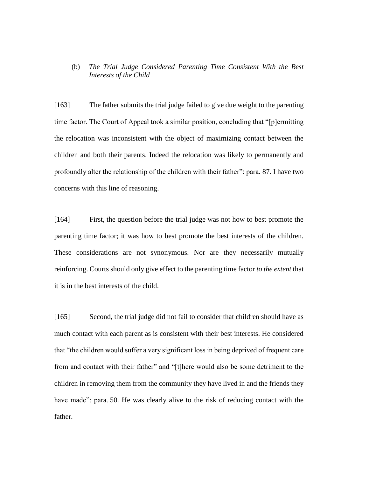# (b) *The Trial Judge Considered Parenting Time Consistent With the Best Interests of the Child*

[163] The father submits the trial judge failed to give due weight to the parenting time factor. The Court of Appeal took a similar position, concluding that "[p]ermitting the relocation was inconsistent with the object of maximizing contact between the children and both their parents. Indeed the relocation was likely to permanently and profoundly alter the relationship of the children with their father": para. 87. I have two concerns with this line of reasoning.

[164] First, the question before the trial judge was not how to best promote the parenting time factor; it was how to best promote the best interests of the children. These considerations are not synonymous. Nor are they necessarily mutually reinforcing. Courts should only give effect to the parenting time factor *to the extent* that it is in the best interests of the child.

[165] Second, the trial judge did not fail to consider that children should have as much contact with each parent as is consistent with their best interests. He considered that "the children would suffer a very significant loss in being deprived of frequent care from and contact with their father" and "[t]here would also be some detriment to the children in removing them from the community they have lived in and the friends they have made": para. 50. He was clearly alive to the risk of reducing contact with the father.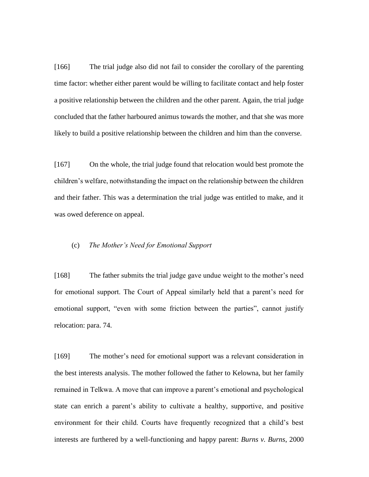[166] The trial judge also did not fail to consider the corollary of the parenting time factor: whether either parent would be willing to facilitate contact and help foster a positive relationship between the children and the other parent. Again, the trial judge concluded that the father harboured animus towards the mother, and that she was more likely to build a positive relationship between the children and him than the converse.

[167] On the whole, the trial judge found that relocation would best promote the children's welfare, notwithstanding the impact on the relationship between the children and their father. This was a determination the trial judge was entitled to make, and it was owed deference on appeal.

# (c) *The Mother's Need for Emotional Support*

[168] The father submits the trial judge gave undue weight to the mother's need for emotional support. The Court of Appeal similarly held that a parent's need for emotional support, "even with some friction between the parties", cannot justify relocation: para. 74.

[169] The mother's need for emotional support was a relevant consideration in the best interests analysis. The mother followed the father to Kelowna, but her family remained in Telkwa. A move that can improve a parent's emotional and psychological state can enrich a parent's ability to cultivate a healthy, supportive, and positive environment for their child. Courts have frequently recognized that a child's best interests are furthered by a well-functioning and happy parent: *Burns v. Burns*, 2000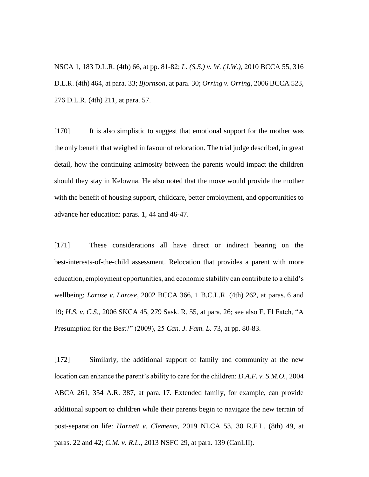NSCA 1, 183 D.L.R. (4th) 66, at pp. 81-82; *L. (S.S.) v. W. (J.W.)*, 2010 BCCA 55, 316 D.L.R. (4th) 464, at para. 33; *Bjornson*, at para. 30; *Orring v. Orring*, 2006 BCCA 523, 276 D.L.R. (4th) 211, at para. 57.

[170] It is also simplistic to suggest that emotional support for the mother was the only benefit that weighed in favour of relocation. The trial judge described, in great detail, how the continuing animosity between the parents would impact the children should they stay in Kelowna. He also noted that the move would provide the mother with the benefit of housing support, childcare, better employment, and opportunities to advance her education: paras. 1, 44 and 46-47.

[171] These considerations all have direct or indirect bearing on the best-interests-of-the-child assessment. Relocation that provides a parent with more education, employment opportunities, and economic stability can contribute to a child's wellbeing: *Larose v. Larose*, 2002 BCCA 366, 1 B.C.L.R. (4th) 262, at paras. 6 and 19; *H.S. v. C.S.*, 2006 SKCA 45, 279 Sask. R. 55, at para. 26; see also E. El Fateh, "A Presumption for the Best?" (2009), 25 *Can. J. Fam. L.* 73, at pp. 80-83.

[172] Similarly, the additional support of family and community at the new location can enhance the parent's ability to care for the children: *D.A.F. v. S.M.O.*, 2004 ABCA 261, 354 A.R. 387, at para. 17. Extended family, for example, can provide additional support to children while their parents begin to navigate the new terrain of post-separation life: *Harnett v. Clements*, 2019 NLCA 53, 30 R.F.L. (8th) 49, at paras. 22 and 42; *C.M. v. R.L.*, 2013 NSFC 29, at para. 139 (CanLII).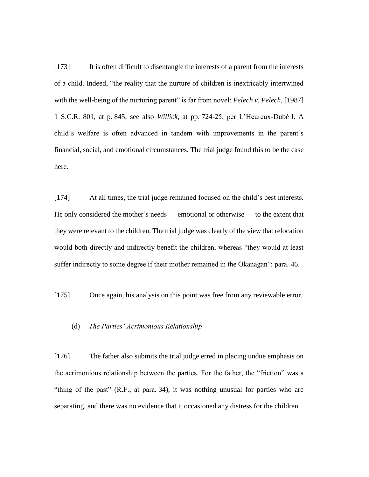[173] It is often difficult to disentangle the interests of a parent from the interests of a child. Indeed, "the reality that the nurture of children is inextricably intertwined with the well-being of the nurturing parent" is far from novel: *Pelech v. Pelech*, [1987] 1 S.C.R. 801, at p. 845; see also *Willick*, at pp. 724-25, per L'Heureux-Dubé J. A child's welfare is often advanced in tandem with improvements in the parent's financial, social, and emotional circumstances. The trial judge found this to be the case here.

[174] At all times, the trial judge remained focused on the child's best interests. He only considered the mother's needs — emotional or otherwise — to the extent that they were relevant to the children. The trial judge was clearly of the view that relocation would both directly and indirectly benefit the children, whereas "they would at least suffer indirectly to some degree if their mother remained in the Okanagan": para. 46.

[175] Once again, his analysis on this point was free from any reviewable error.

#### (d) *The Parties' Acrimonious Relationship*

[176] The father also submits the trial judge erred in placing undue emphasis on the acrimonious relationship between the parties. For the father, the "friction" was a "thing of the past" (R.F., at para. 34), it was nothing unusual for parties who are separating, and there was no evidence that it occasioned any distress for the children.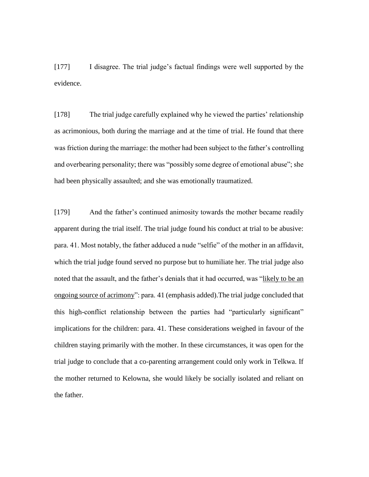[177] I disagree. The trial judge's factual findings were well supported by the evidence.

[178] The trial judge carefully explained why he viewed the parties' relationship as acrimonious, both during the marriage and at the time of trial. He found that there was friction during the marriage: the mother had been subject to the father's controlling and overbearing personality; there was "possibly some degree of emotional abuse"; she had been physically assaulted; and she was emotionally traumatized.

[179] And the father's continued animosity towards the mother became readily apparent during the trial itself. The trial judge found his conduct at trial to be abusive: para. 41. Most notably, the father adduced a nude "selfie" of the mother in an affidavit, which the trial judge found served no purpose but to humiliate her. The trial judge also noted that the assault, and the father's denials that it had occurred, was "likely to be an ongoing source of acrimony": para. 41 (emphasis added).The trial judge concluded that this high-conflict relationship between the parties had "particularly significant" implications for the children: para. 41. These considerations weighed in favour of the children staying primarily with the mother. In these circumstances, it was open for the trial judge to conclude that a co-parenting arrangement could only work in Telkwa. If the mother returned to Kelowna, she would likely be socially isolated and reliant on the father.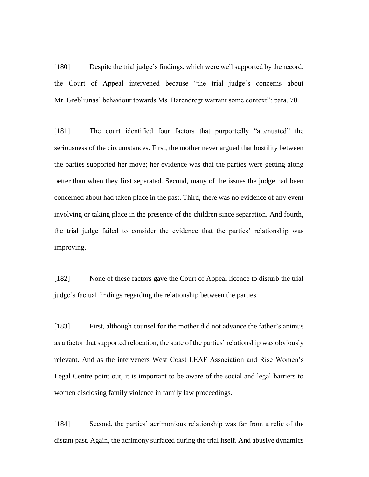[180] Despite the trial judge's findings, which were well supported by the record, the Court of Appeal intervened because "the trial judge's concerns about Mr. Grebliunas' behaviour towards Ms. Barendregt warrant some context": para. 70.

[181] The court identified four factors that purportedly "attenuated" the seriousness of the circumstances. First, the mother never argued that hostility between the parties supported her move; her evidence was that the parties were getting along better than when they first separated. Second, many of the issues the judge had been concerned about had taken place in the past. Third, there was no evidence of any event involving or taking place in the presence of the children since separation. And fourth, the trial judge failed to consider the evidence that the parties' relationship was improving.

[182] None of these factors gave the Court of Appeal licence to disturb the trial judge's factual findings regarding the relationship between the parties.

[183] First, although counsel for the mother did not advance the father's animus as a factor that supported relocation, the state of the parties' relationship was obviously relevant. And as the interveners West Coast LEAF Association and Rise Women's Legal Centre point out, it is important to be aware of the social and legal barriers to women disclosing family violence in family law proceedings.

[184] Second, the parties' acrimonious relationship was far from a relic of the distant past. Again, the acrimony surfaced during the trial itself. And abusive dynamics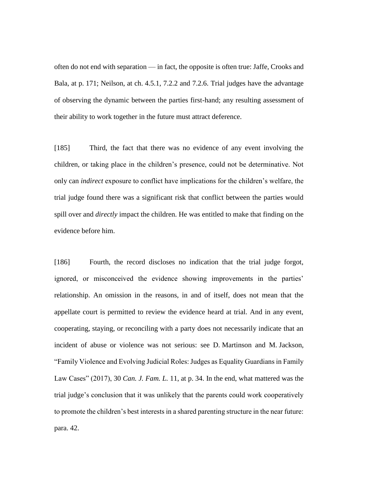often do not end with separation — in fact, the opposite is often true: Jaffe, Crooks and Bala, at p. 171; Neilson, at ch. 4.5.1, 7.2.2 and 7.2.6. Trial judges have the advantage of observing the dynamic between the parties first-hand; any resulting assessment of their ability to work together in the future must attract deference.

[185] Third, the fact that there was no evidence of any event involving the children, or taking place in the children's presence, could not be determinative. Not only can *indirect* exposure to conflict have implications for the children's welfare, the trial judge found there was a significant risk that conflict between the parties would spill over and *directly* impact the children. He was entitled to make that finding on the evidence before him.

[186] Fourth, the record discloses no indication that the trial judge forgot, ignored, or misconceived the evidence showing improvements in the parties' relationship. An omission in the reasons, in and of itself, does not mean that the appellate court is permitted to review the evidence heard at trial. And in any event, cooperating, staying, or reconciling with a party does not necessarily indicate that an incident of abuse or violence was not serious: see D. Martinson and M. Jackson, "Family Violence and Evolving Judicial Roles: Judges as Equality Guardians in Family Law Cases" (2017), 30 *Can. J. Fam. L.* 11, at p. 34. In the end, what mattered was the trial judge's conclusion that it was unlikely that the parents could work cooperatively to promote the children's best interests in a shared parenting structure in the near future: para. 42.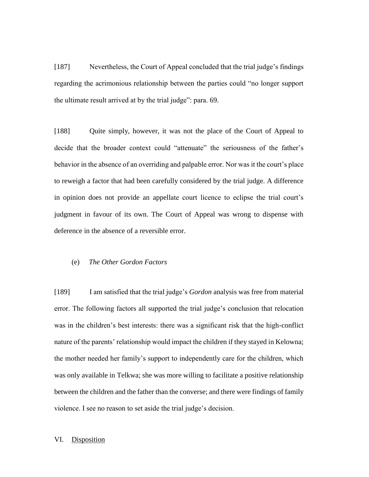[187] Nevertheless, the Court of Appeal concluded that the trial judge's findings regarding the acrimonious relationship between the parties could "no longer support the ultimate result arrived at by the trial judge": para. 69.

[188] Quite simply, however, it was not the place of the Court of Appeal to decide that the broader context could "attenuate" the seriousness of the father's behavior in the absence of an overriding and palpable error. Nor was it the court's place to reweigh a factor that had been carefully considered by the trial judge. A difference in opinion does not provide an appellate court licence to eclipse the trial court's judgment in favour of its own. The Court of Appeal was wrong to dispense with deference in the absence of a reversible error.

### (e) *The Other Gordon Factors*

[189] I am satisfied that the trial judge's *Gordon* analysis was free from material error. The following factors all supported the trial judge's conclusion that relocation was in the children's best interests: there was a significant risk that the high-conflict nature of the parents' relationship would impact the children if they stayed in Kelowna; the mother needed her family's support to independently care for the children, which was only available in Telkwa; she was more willing to facilitate a positive relationship between the children and the father than the converse; and there were findings of family violence. I see no reason to set aside the trial judge's decision.

#### VI. Disposition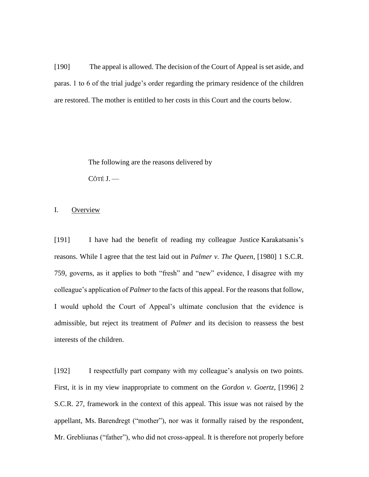[190] The appeal is allowed. The decision of the Court of Appeal is set aside, and paras. 1 to 6 of the trial judge's order regarding the primary residence of the children are restored. The mother is entitled to her costs in this Court and the courts below.

> The following are the reasons delivered by CÔTÉ J. —

# I. Overview

[191] I have had the benefit of reading my colleague Justice Karakatsanis's reasons. While I agree that the test laid out in *Palmer v. The Queen*, [1980] 1 S.C.R. 759, governs, as it applies to both "fresh" and "new" evidence, I disagree with my colleague's application of *Palmer* to the facts of this appeal. For the reasons that follow, I would uphold the Court of Appeal's ultimate conclusion that the evidence is admissible, but reject its treatment of *Palmer* and its decision to reassess the best interests of the children.

[192] I respectfully part company with my colleague's analysis on two points. First, it is in my view inappropriate to comment on the *Gordon v. Goertz*, [1996] 2 S.C.R. 27, framework in the context of this appeal. This issue was not raised by the appellant, Ms. Barendregt ("mother"), nor was it formally raised by the respondent, Mr. Grebliunas ("father"), who did not cross-appeal. It is therefore not properly before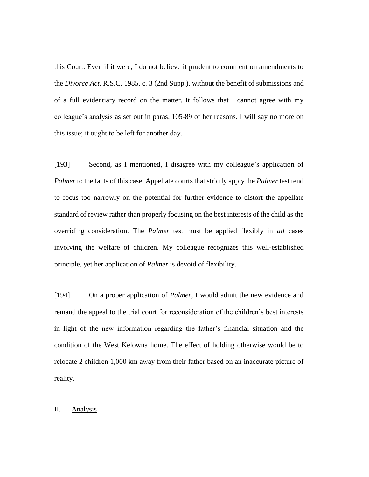this Court. Even if it were, I do not believe it prudent to comment on amendments to the *Divorce Act*, R.S.C. 1985, c. 3 (2nd Supp.), without the benefit of submissions and of a full evidentiary record on the matter. It follows that I cannot agree with my colleague's analysis as set out in paras. 105-89 of her reasons. I will say no more on this issue; it ought to be left for another day.

[193] Second, as I mentioned, I disagree with my colleague's application of *Palmer* to the facts of this case. Appellate courts that strictly apply the *Palmer* test tend to focus too narrowly on the potential for further evidence to distort the appellate standard of review rather than properly focusing on the best interests of the child as the overriding consideration. The *Palmer* test must be applied flexibly in *all* cases involving the welfare of children. My colleague recognizes this well-established principle, yet her application of *Palmer* is devoid of flexibility.

[194] On a proper application of *Palmer*, I would admit the new evidence and remand the appeal to the trial court for reconsideration of the children's best interests in light of the new information regarding the father's financial situation and the condition of the West Kelowna home. The effect of holding otherwise would be to relocate 2 children 1,000 km away from their father based on an inaccurate picture of reality.

# II. Analysis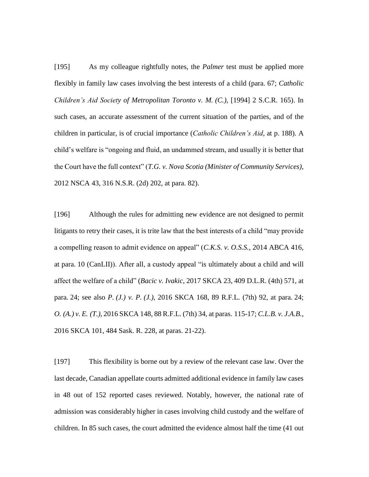[195] As my colleague rightfully notes, the *Palmer* test must be applied more flexibly in family law cases involving the best interests of a child (para. 67; *Catholic Children's Aid Society of Metropolitan Toronto v. M. (C.)*, [1994] 2 S.C.R. 165). In such cases, an accurate assessment of the current situation of the parties, and of the children in particular, is of crucial importance (*Catholic Children's Aid*, at p. 188). A child's welfare is "ongoing and fluid, an undammed stream, and usually it is better that the Court have the full context" (*T.G. v. Nova Scotia (Minister of Community Services)*, 2012 NSCA 43, 316 N.S.R. (2d) 202, at para. 82).

[196] Although the rules for admitting new evidence are not designed to permit litigants to retry their cases, it is trite law that the best interests of a child "may provide a compelling reason to admit evidence on appeal" (*C.K.S. v. O.S.S.*, 2014 ABCA 416, at para. 10 (CanLII)). After all, a custody appeal "is ultimately about a child and will affect the welfare of a child" (*Bacic v. Ivakic*, 2017 SKCA 23, 409 D.L.R. (4th) 571, at para. 24; see also *P. (J.) v. P. (J.)*, 2016 SKCA 168, 89 R.F.L. (7th) 92, at para. 24; *O. (A.) v. E. (T.)*, 2016 SKCA 148, 88 R.F.L. (7th) 34, at paras. 115-17; *C.L.B. v. J.A.B.*, 2016 SKCA 101, 484 Sask. R. 228, at paras. 21-22).

[197] This flexibility is borne out by a review of the relevant case law. Over the last decade, Canadian appellate courts admitted additional evidence in family law cases in 48 out of 152 reported cases reviewed. Notably, however, the national rate of admission was considerably higher in cases involving child custody and the welfare of children. In 85 such cases, the court admitted the evidence almost half the time (41 out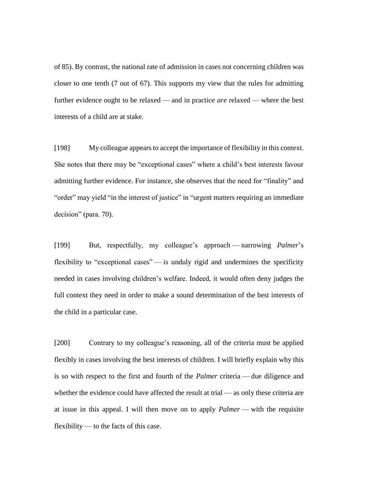of 85). By contrast, the national rate of admission in cases not concerning children was closer to one tenth (7 out of 67). This supports my view that the rules for admitting further evidence ought to be relaxed — and in practice *are* relaxed — where the best interests of a child are at stake.

[198] My colleague appears to accept the importance of flexibility in this context. She notes that there may be "exceptional cases" where a child's best interests favour admitting further evidence. For instance, she observes that the need for "finality" and "order" may yield "in the interest of justice" in "urgent matters requiring an immediate decision" (para. 70).

[199] But, respectfully, my colleague's approach — narrowing *Palmer*'s flexibility to "exceptional cases" — is unduly rigid and undermines the specificity needed in cases involving children's welfare. Indeed, it would often deny judges the full context they need in order to make a sound determination of the best interests of the child in a particular case.

[200] Contrary to my colleague's reasoning, all of the criteria must be applied flexibly in cases involving the best interests of children. I will briefly explain why this is so with respect to the first and fourth of the *Palmer* criteria — due diligence and whether the evidence could have affected the result at trial — as only these criteria are at issue in this appeal. I will then move on to apply *Palmer* — with the requisite flexibility — to the facts of this case.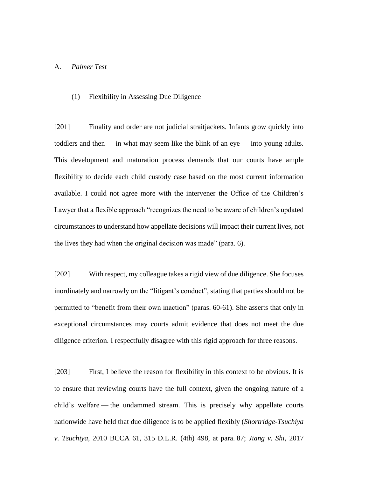# A. *Palmer Test*

#### (1) Flexibility in Assessing Due Diligence

[201] Finality and order are not judicial straitjackets. Infants grow quickly into toddlers and then — in what may seem like the blink of an eye — into young adults. This development and maturation process demands that our courts have ample flexibility to decide each child custody case based on the most current information available. I could not agree more with the intervener the Office of the Children's Lawyer that a flexible approach "recognizes the need to be aware of children's updated circumstances to understand how appellate decisions will impact their current lives, not the lives they had when the original decision was made" (para. 6).

[202] With respect, my colleague takes a rigid view of due diligence. She focuses inordinately and narrowly on the "litigant's conduct", stating that parties should not be permitted to "benefit from their own inaction" (paras. 60-61). She asserts that only in exceptional circumstances may courts admit evidence that does not meet the due diligence criterion. I respectfully disagree with this rigid approach for three reasons.

[203] First, I believe the reason for flexibility in this context to be obvious. It is to ensure that reviewing courts have the full context, given the ongoing nature of a child's welfare — the undammed stream. This is precisely why appellate courts nationwide have held that due diligence is to be applied flexibly (*Shortridge-Tsuchiya v. Tsuchiya*, 2010 BCCA 61, 315 D.L.R. (4th) 498, at para. 87; *Jiang v. Shi*, 2017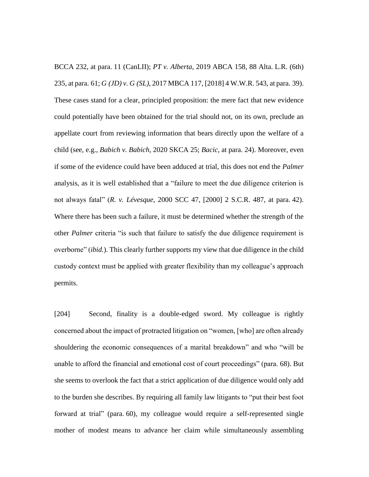BCCA 232, at para. 11 (CanLII); *PT v. Alberta*, 2019 ABCA 158, 88 Alta. L.R. (6th) 235, at para. 61; *G (JD) v. G (SL)*, 2017 MBCA 117, [2018] 4 W.W.R. 543, at para. 39). These cases stand for a clear, principled proposition: the mere fact that new evidence could potentially have been obtained for the trial should not, on its own, preclude an appellate court from reviewing information that bears directly upon the welfare of a child (see, e.g., *Babich v. Babich*, 2020 SKCA 25; *Bacic*, at para. 24). Moreover, even if some of the evidence could have been adduced at trial, this does not end the *Palmer*  analysis, as it is well established that a "failure to meet the due diligence criterion is not always fatal" (*R. v. Lévesque*, 2000 SCC 47, [2000] 2 S.C.R. 487, at para. 42). Where there has been such a failure, it must be determined whether the strength of the other *Palmer* criteria "is such that failure to satisfy the due diligence requirement is overborne" (*ibid.*). This clearly further supports my view that due diligence in the child custody context must be applied with greater flexibility than my colleague's approach permits.

[204] Second, finality is a double-edged sword. My colleague is rightly concerned about the impact of protracted litigation on "women, [who] are often already shouldering the economic consequences of a marital breakdown" and who "will be unable to afford the financial and emotional cost of court proceedings" (para. 68). But she seems to overlook the fact that a strict application of due diligence would only add to the burden she describes. By requiring all family law litigants to "put their best foot forward at trial" (para. 60), my colleague would require a self-represented single mother of modest means to advance her claim while simultaneously assembling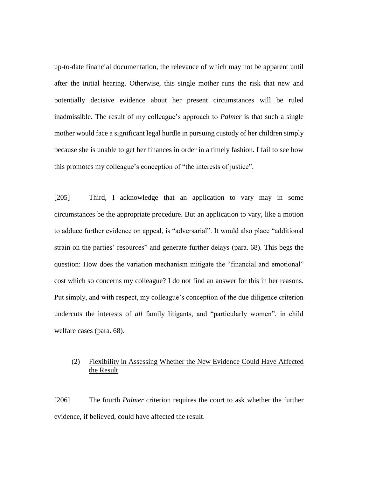up-to-date financial documentation, the relevance of which may not be apparent until after the initial hearing. Otherwise, this single mother runs the risk that new and potentially decisive evidence about her present circumstances will be ruled inadmissible. The result of my colleague's approach to *Palmer* is that such a single mother would face a significant legal hurdle in pursuing custody of her children simply because she is unable to get her finances in order in a timely fashion. I fail to see how this promotes my colleague's conception of "the interests of justice".

[205] Third, I acknowledge that an application to vary may in some circumstances be the appropriate procedure. But an application to vary, like a motion to adduce further evidence on appeal, is "adversarial". It would also place "additional strain on the parties' resources" and generate further delays (para. 68). This begs the question: How does the variation mechanism mitigate the "financial and emotional" cost which so concerns my colleague? I do not find an answer for this in her reasons. Put simply, and with respect, my colleague's conception of the due diligence criterion undercuts the interests of *all* family litigants, and "particularly women", in child welfare cases (para. 68).

# (2) Flexibility in Assessing Whether the New Evidence Could Have Affected the Result

[206] The fourth *Palmer* criterion requires the court to ask whether the further evidence, if believed, could have affected the result.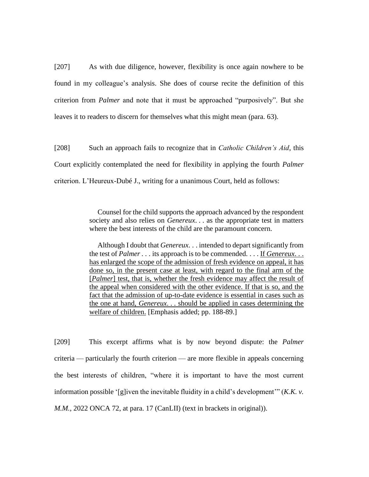[207] As with due diligence, however, flexibility is once again nowhere to be found in my colleague's analysis. She does of course recite the definition of this criterion from *Palmer* and note that it must be approached "purposively". But she leaves it to readers to discern for themselves what this might mean (para. 63).

[208] Such an approach fails to recognize that in *Catholic Children's Aid*, this Court explicitly contemplated the need for flexibility in applying the fourth *Palmer*  criterion. L'Heureux-Dubé J., writing for a unanimous Court, held as follows:

> Counsel for the child supports the approach advanced by the respondent society and also relies on *Genereux*. . . as the appropriate test in matters where the best interests of the child are the paramount concern.

> Although I doubt that *Genereux*. . . intended to depart significantly from the test of *Palmer . . .* its approach is to be commended. . . . If *Genereux*. . . has enlarged the scope of the admission of fresh evidence on appeal, it has done so, in the present case at least, with regard to the final arm of the [*Palmer*] test, that is, whether the fresh evidence may affect the result of the appeal when considered with the other evidence. If that is so, and the fact that the admission of up-to-date evidence is essential in cases such as the one at hand, *Genereux*. . . should be applied in cases determining the welfare of children. [Emphasis added; pp. 188-89.]

[209] This excerpt affirms what is by now beyond dispute: the *Palmer* criteria — particularly the fourth criterion — are more flexible in appeals concerning the best interests of children, "where it is important to have the most current information possible '[g]iven the inevitable fluidity in a child's development'" (*K.K. v. M.M.*, 2022 ONCA 72, at para. 17 (CanLII) (text in brackets in original)).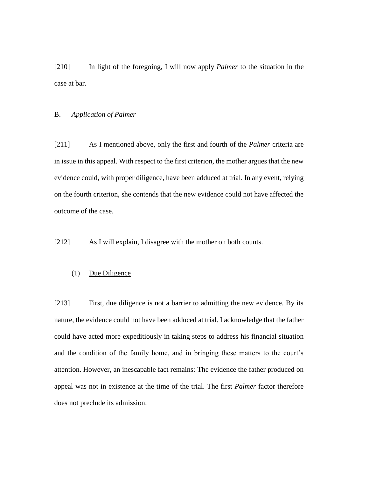[210] In light of the foregoing, I will now apply *Palmer* to the situation in the case at bar.

#### B. *Application of Palmer*

[211] As I mentioned above, only the first and fourth of the *Palmer* criteria are in issue in this appeal. With respect to the first criterion, the mother argues that the new evidence could, with proper diligence, have been adduced at trial. In any event, relying on the fourth criterion, she contends that the new evidence could not have affected the outcome of the case.

[212] As I will explain, I disagree with the mother on both counts.

# (1) Due Diligence

[213] First, due diligence is not a barrier to admitting the new evidence. By its nature, the evidence could not have been adduced at trial. I acknowledge that the father could have acted more expeditiously in taking steps to address his financial situation and the condition of the family home, and in bringing these matters to the court's attention. However, an inescapable fact remains: The evidence the father produced on appeal was not in existence at the time of the trial. The first *Palmer* factor therefore does not preclude its admission.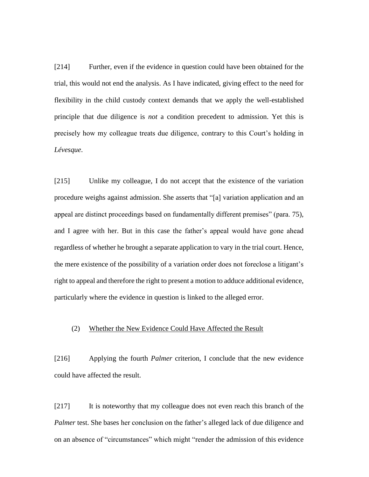[214] Further, even if the evidence in question could have been obtained for the trial, this would not end the analysis. As I have indicated, giving effect to the need for flexibility in the child custody context demands that we apply the well-established principle that due diligence is *not* a condition precedent to admission. Yet this is precisely how my colleague treats due diligence, contrary to this Court's holding in *Lévesque*.

[215] Unlike my colleague, I do not accept that the existence of the variation procedure weighs against admission. She asserts that "[a] variation application and an appeal are distinct proceedings based on fundamentally different premises" (para. 75), and I agree with her. But in this case the father's appeal would have gone ahead regardless of whether he brought a separate application to vary in the trial court. Hence, the mere existence of the possibility of a variation order does not foreclose a litigant's right to appeal and therefore the right to present a motion to adduce additional evidence, particularly where the evidence in question is linked to the alleged error.

#### (2) Whether the New Evidence Could Have Affected the Result

[216] Applying the fourth *Palmer* criterion, I conclude that the new evidence could have affected the result.

[217] It is noteworthy that my colleague does not even reach this branch of the *Palmer* test. She bases her conclusion on the father's alleged lack of due diligence and on an absence of "circumstances" which might "render the admission of this evidence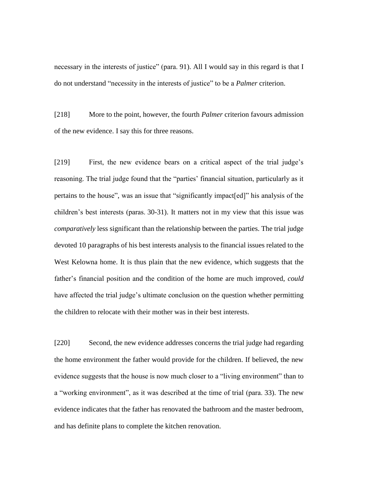necessary in the interests of justice" (para. 91). All I would say in this regard is that I do not understand "necessity in the interests of justice" to be a *Palmer* criterion.

[218] More to the point, however, the fourth *Palmer* criterion favours admission of the new evidence. I say this for three reasons.

[219] First, the new evidence bears on a critical aspect of the trial judge's reasoning. The trial judge found that the "parties' financial situation, particularly as it pertains to the house", was an issue that "significantly impact[ed]" his analysis of the children's best interests (paras. 30-31). It matters not in my view that this issue was *comparatively* less significant than the relationship between the parties. The trial judge devoted 10 paragraphs of his best interests analysis to the financial issues related to the West Kelowna home. It is thus plain that the new evidence, which suggests that the father's financial position and the condition of the home are much improved, *could* have affected the trial judge's ultimate conclusion on the question whether permitting the children to relocate with their mother was in their best interests.

[220] Second, the new evidence addresses concerns the trial judge had regarding the home environment the father would provide for the children. If believed, the new evidence suggests that the house is now much closer to a "living environment" than to a "working environment", as it was described at the time of trial (para. 33). The new evidence indicates that the father has renovated the bathroom and the master bedroom, and has definite plans to complete the kitchen renovation.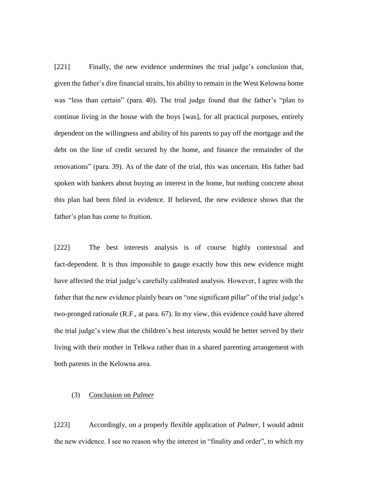[221] Finally, the new evidence undermines the trial judge's conclusion that, given the father's dire financial straits, his ability to remain in the West Kelowna home was "less than certain" (para. 40). The trial judge found that the father's "plan to continue living in the house with the boys [was], for all practical purposes, entirely dependent on the willingness and ability of his parents to pay off the mortgage and the debt on the line of credit secured by the home, and finance the remainder of the renovations" (para. 39). As of the date of the trial, this was uncertain. His father had spoken with bankers about buying an interest in the home, but nothing concrete about this plan had been filed in evidence. If believed, the new evidence shows that the father's plan has come to fruition.

[222] The best interests analysis is of course highly contextual and fact-dependent. It is thus impossible to gauge exactly how this new evidence might have affected the trial judge's carefully calibrated analysis. However, I agree with the father that the new evidence plainly bears on "one significant pillar" of the trial judge's two-pronged rationale (R.F., at para. 67). In my view, this evidence could have altered the trial judge's view that the children's best interests would be better served by their living with their mother in Telkwa rather than in a shared parenting arrangement with both parents in the Kelowna area.

# (3) Conclusion on *Palmer*

[223] Accordingly, on a properly flexible application of *Palmer*, I would admit the new evidence. I see no reason why the interest in "finality and order", to which my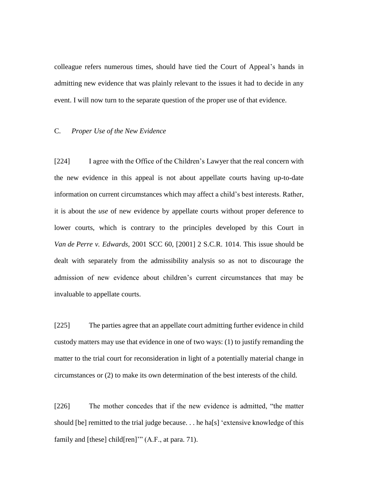colleague refers numerous times, should have tied the Court of Appeal's hands in admitting new evidence that was plainly relevant to the issues it had to decide in any event. I will now turn to the separate question of the proper use of that evidence.

#### C. *Proper Use of the New Evidence*

[224] I agree with the Office of the Children's Lawyer that the real concern with the new evidence in this appeal is not about appellate courts having up-to-date information on current circumstances which may affect a child's best interests. Rather, it is about the *use* of new evidence by appellate courts without proper deference to lower courts, which is contrary to the principles developed by this Court in *Van de Perre v. Edwards*, 2001 SCC 60, [2001] 2 S.C.R. 1014. This issue should be dealt with separately from the admissibility analysis so as not to discourage the admission of new evidence about children's current circumstances that may be invaluable to appellate courts.

[225] The parties agree that an appellate court admitting further evidence in child custody matters may use that evidence in one of two ways: (1) to justify remanding the matter to the trial court for reconsideration in light of a potentially material change in circumstances or (2) to make its own determination of the best interests of the child.

[226] The mother concedes that if the new evidence is admitted, "the matter should [be] remitted to the trial judge because. . . he ha[s] 'extensive knowledge of this family and [these] child[ren]'" (A.F., at para. 71).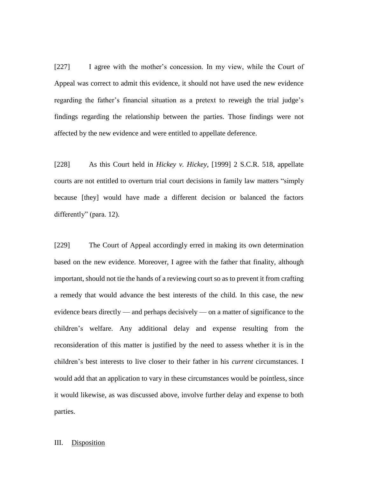[227] I agree with the mother's concession. In my view, while the Court of Appeal was correct to admit this evidence, it should not have used the new evidence regarding the father's financial situation as a pretext to reweigh the trial judge's findings regarding the relationship between the parties. Those findings were not affected by the new evidence and were entitled to appellate deference.

[228] As this Court held in *Hickey v. Hickey*, [1999] 2 S.C.R. 518, appellate courts are not entitled to overturn trial court decisions in family law matters "simply because [they] would have made a different decision or balanced the factors differently" (para. 12).

[229] The Court of Appeal accordingly erred in making its own determination based on the new evidence. Moreover, I agree with the father that finality, although important, should not tie the hands of a reviewing court so as to prevent it from crafting a remedy that would advance the best interests of the child. In this case, the new evidence bears directly — and perhaps decisively — on a matter of significance to the children's welfare. Any additional delay and expense resulting from the reconsideration of this matter is justified by the need to assess whether it is in the children's best interests to live closer to their father in his *current* circumstances. I would add that an application to vary in these circumstances would be pointless, since it would likewise, as was discussed above, involve further delay and expense to both parties.

### III. Disposition